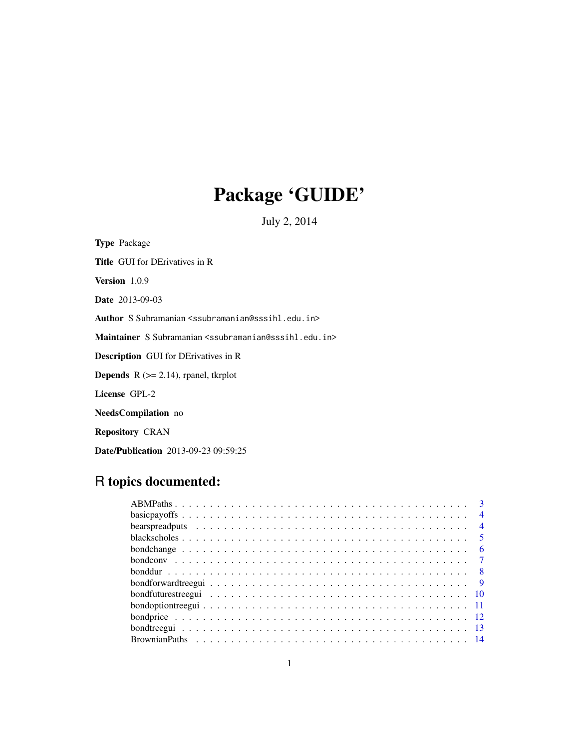## Package 'GUIDE'

July 2, 2014

Type Package Title GUI for DErivatives in R Version 1.0.9 Date 2013-09-03 Author S Subramanian <ssubramanian@sssihl.edu.in> Maintainer S Subramanian <ssubramanian@sssihl.edu.in> Description GUI for DErivatives in R **Depends**  $R$  ( $>= 2.14$ ), rpanel, tkrplot License GPL-2 NeedsCompilation no Repository CRAN

Date/Publication 2013-09-23 09:59:25

## R topics documented: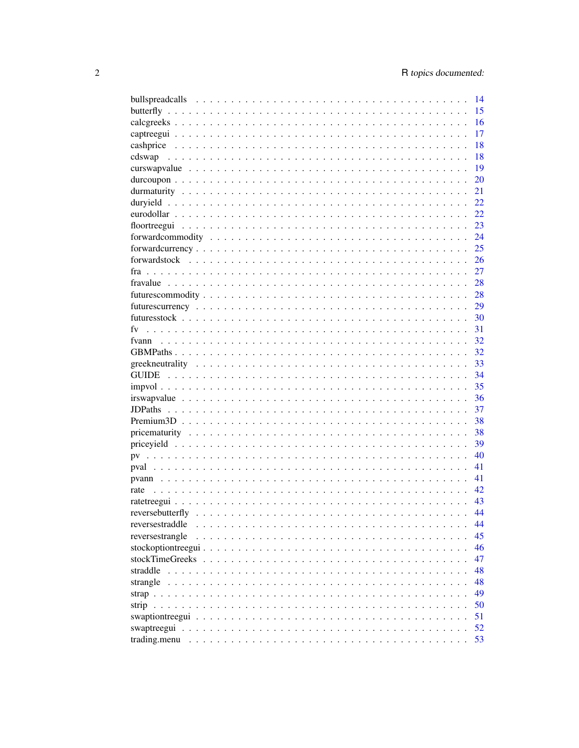|                                  |  |   | 14   |
|----------------------------------|--|---|------|
|                                  |  |   | 15   |
|                                  |  |   | 16   |
|                                  |  |   | 17   |
|                                  |  |   | 18   |
|                                  |  |   | 18   |
|                                  |  |   | 19   |
|                                  |  |   | 20   |
|                                  |  |   | 21   |
|                                  |  |   | 22   |
|                                  |  |   | 22   |
|                                  |  |   | 23   |
|                                  |  |   | - 24 |
|                                  |  |   | 25   |
|                                  |  |   |      |
|                                  |  |   | 27   |
|                                  |  |   |      |
|                                  |  |   |      |
|                                  |  |   |      |
|                                  |  |   |      |
| fv                               |  |   |      |
|                                  |  |   |      |
|                                  |  |   |      |
|                                  |  |   | 33   |
|                                  |  |   | -34  |
|                                  |  |   | 35   |
|                                  |  |   | -36  |
|                                  |  |   | 37   |
|                                  |  |   | 38   |
|                                  |  |   | 38   |
|                                  |  |   | 39   |
|                                  |  |   | 40   |
|                                  |  |   | 41   |
|                                  |  |   | 41   |
|                                  |  |   | 42   |
|                                  |  |   | 43   |
|                                  |  |   | 44   |
| reversestraddle                  |  |   | 44   |
| reversestrangle                  |  | . | 45   |
| stockoptiontreegui               |  |   | 46   |
| stockTimeGreeks<br>$\sim$ $\sim$ |  |   | 47   |
| straddle                         |  |   | 48   |
| strangle                         |  |   | 48   |
|                                  |  |   | 49   |
|                                  |  |   | 50   |
|                                  |  |   | 51   |
|                                  |  |   | 52   |
| trading.menu                     |  |   | 53   |
|                                  |  |   |      |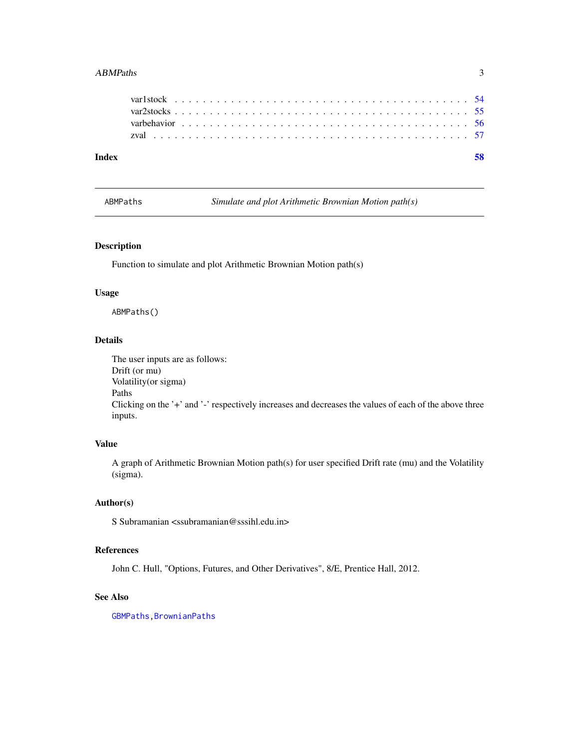#### <span id="page-2-0"></span>ABMPaths 3

| Index |  |  |  |  |  |  |  |  |  |  |  |  |  |  |  |  |  |  |  |
|-------|--|--|--|--|--|--|--|--|--|--|--|--|--|--|--|--|--|--|--|
|       |  |  |  |  |  |  |  |  |  |  |  |  |  |  |  |  |  |  |  |
|       |  |  |  |  |  |  |  |  |  |  |  |  |  |  |  |  |  |  |  |
|       |  |  |  |  |  |  |  |  |  |  |  |  |  |  |  |  |  |  |  |
|       |  |  |  |  |  |  |  |  |  |  |  |  |  |  |  |  |  |  |  |
|       |  |  |  |  |  |  |  |  |  |  |  |  |  |  |  |  |  |  |  |

<span id="page-2-1"></span>ABMPaths *Simulate and plot Arithmetic Brownian Motion path(s)*

### Description

Function to simulate and plot Arithmetic Brownian Motion path(s)

### Usage

ABMPaths()

### Details

The user inputs are as follows: Drift (or mu) Volatility(or sigma) Paths Clicking on the '+' and '-' respectively increases and decreases the values of each of the above three inputs.

### Value

A graph of Arithmetic Brownian Motion path(s) for user specified Drift rate (mu) and the Volatility (sigma).

### Author(s)

S Subramanian <ssubramanian@sssihl.edu.in>

### References

John C. Hull, "Options, Futures, and Other Derivatives", 8/E, Prentice Hall, 2012.

### See Also

[GBMPaths](#page-31-1)[,BrownianPaths](#page-13-1)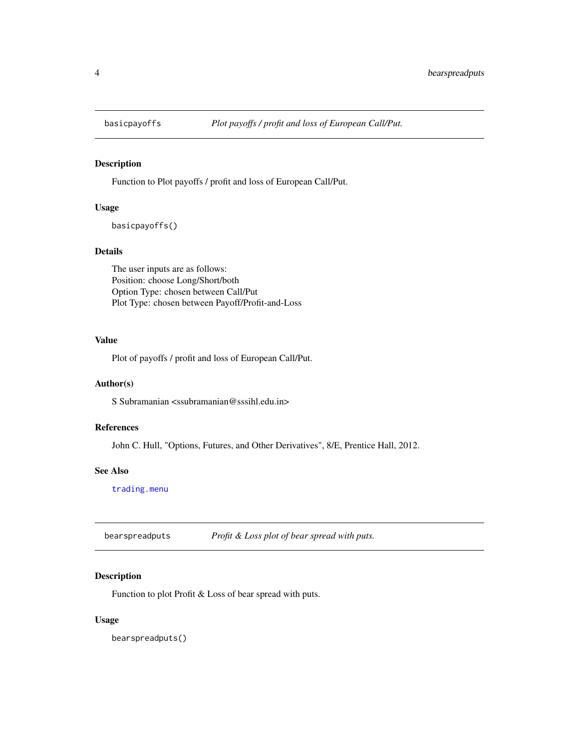<span id="page-3-2"></span><span id="page-3-0"></span>

Function to Plot payoffs / profit and loss of European Call/Put.

### Usage

basicpayoffs()

#### Details

The user inputs are as follows: Position: choose Long/Short/both Option Type: chosen between Call/Put Plot Type: chosen between Payoff/Profit-and-Loss

#### Value

Plot of payoffs / profit and loss of European Call/Put.

### Author(s)

S Subramanian <ssubramanian@sssihl.edu.in>

### References

John C. Hull, "Options, Futures, and Other Derivatives", 8/E, Prentice Hall, 2012.

#### See Also

[trading.menu](#page-52-1)

<span id="page-3-1"></span>bearspreadputs *Profit & Loss plot of bear spread with puts.*

### Description

Function to plot Profit & Loss of bear spread with puts.

#### Usage

bearspreadputs()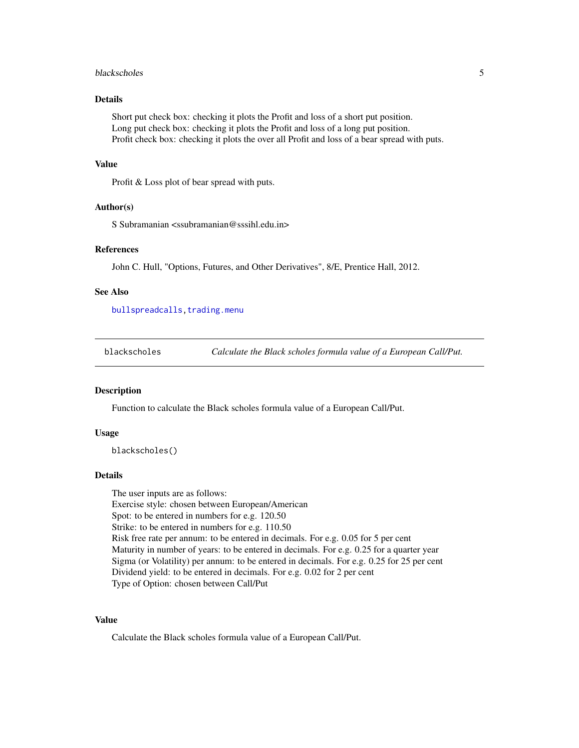#### <span id="page-4-0"></span>blackscholes 5

### Details

Short put check box: checking it plots the Profit and loss of a short put position. Long put check box: checking it plots the Profit and loss of a long put position. Profit check box: checking it plots the over all Profit and loss of a bear spread with puts.

#### Value

Profit & Loss plot of bear spread with puts.

#### Author(s)

S Subramanian <ssubramanian@sssihl.edu.in>

### References

John C. Hull, "Options, Futures, and Other Derivatives", 8/E, Prentice Hall, 2012.

#### See Also

[bullspreadcalls](#page-13-2), trading.menu

<span id="page-4-1"></span>blackscholes *Calculate the Black scholes formula value of a European Call/Put.*

#### Description

Function to calculate the Black scholes formula value of a European Call/Put.

#### Usage

blackscholes()

#### Details

The user inputs are as follows: Exercise style: chosen between European/American Spot: to be entered in numbers for e.g. 120.50 Strike: to be entered in numbers for e.g. 110.50 Risk free rate per annum: to be entered in decimals. For e.g. 0.05 for 5 per cent Maturity in number of years: to be entered in decimals. For e.g. 0.25 for a quarter year Sigma (or Volatility) per annum: to be entered in decimals. For e.g. 0.25 for 25 per cent Dividend yield: to be entered in decimals. For e.g. 0.02 for 2 per cent Type of Option: chosen between Call/Put

### Value

Calculate the Black scholes formula value of a European Call/Put.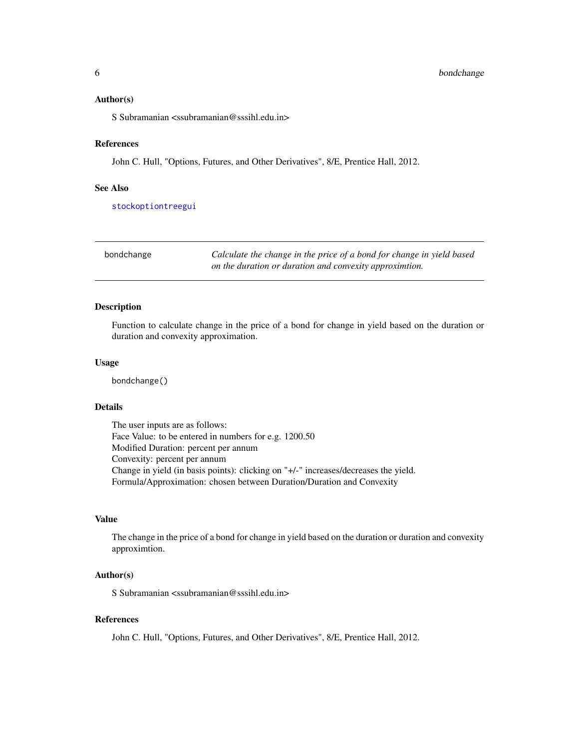#### <span id="page-5-0"></span>Author(s)

S Subramanian <ssubramanian@sssihl.edu.in>

#### References

John C. Hull, "Options, Futures, and Other Derivatives", 8/E, Prentice Hall, 2012.

#### See Also

[stockoptiontreegui](#page-45-1)

<span id="page-5-1"></span>bondchange *Calculate the change in the price of a bond for change in yield based on the duration or duration and convexity approximtion.*

### Description

Function to calculate change in the price of a bond for change in yield based on the duration or duration and convexity approximation.

#### Usage

bondchange()

#### Details

The user inputs are as follows: Face Value: to be entered in numbers for e.g. 1200.50 Modified Duration: percent per annum Convexity: percent per annum Change in yield (in basis points): clicking on "+/-" increases/decreases the yield. Formula/Approximation: chosen between Duration/Duration and Convexity

#### Value

The change in the price of a bond for change in yield based on the duration or duration and convexity approximtion.

#### Author(s)

S Subramanian <ssubramanian@sssihl.edu.in>

#### References

John C. Hull, "Options, Futures, and Other Derivatives", 8/E, Prentice Hall, 2012.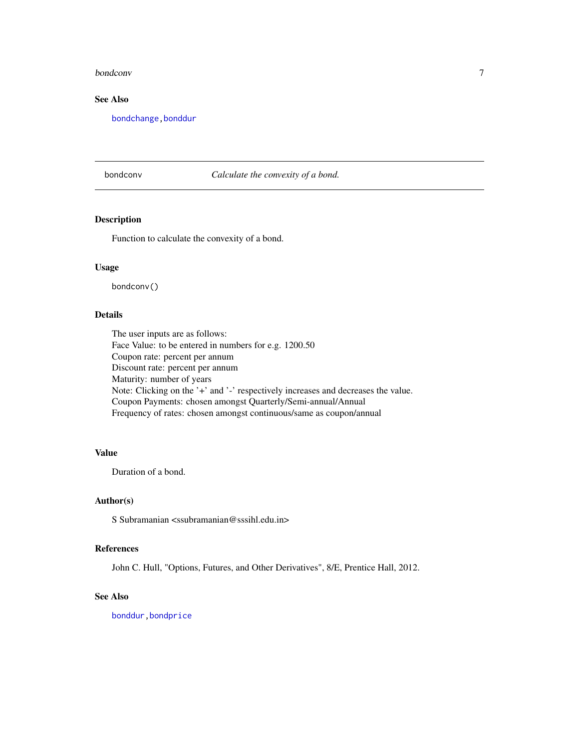#### <span id="page-6-0"></span>bondconv 7

### See Also

[bondchange](#page-5-1)[,bonddur](#page-7-1)

bondconv *Calculate the convexity of a bond.*

### Description

Function to calculate the convexity of a bond.

#### Usage

bondconv()

### Details

The user inputs are as follows: Face Value: to be entered in numbers for e.g. 1200.50 Coupon rate: percent per annum Discount rate: percent per annum Maturity: number of years Note: Clicking on the '+' and '-' respectively increases and decreases the value. Coupon Payments: chosen amongst Quarterly/Semi-annual/Annual Frequency of rates: chosen amongst continuous/same as coupon/annual

### Value

Duration of a bond.

#### Author(s)

S Subramanian <ssubramanian@sssihl.edu.in>

### References

John C. Hull, "Options, Futures, and Other Derivatives", 8/E, Prentice Hall, 2012.

#### See Also

[bonddur](#page-7-1)[,bondprice](#page-11-1)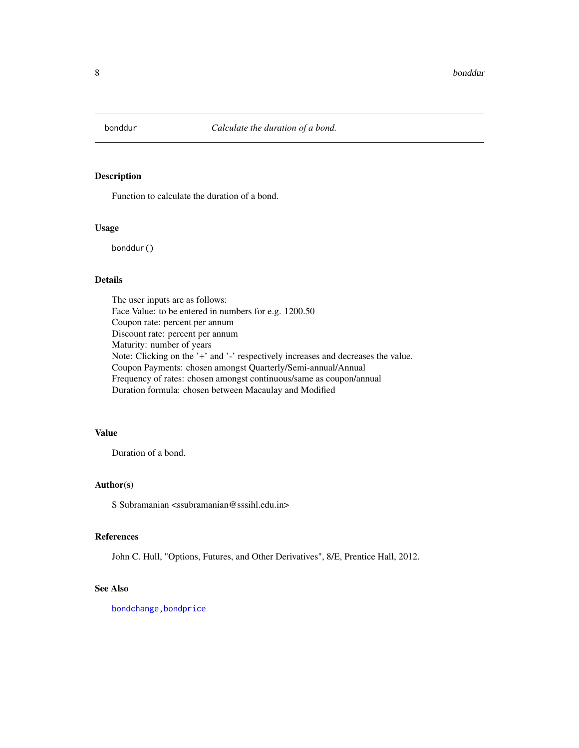<span id="page-7-1"></span><span id="page-7-0"></span>

Function to calculate the duration of a bond.

### Usage

bonddur()

#### Details

The user inputs are as follows: Face Value: to be entered in numbers for e.g. 1200.50 Coupon rate: percent per annum Discount rate: percent per annum Maturity: number of years Note: Clicking on the '+' and '-' respectively increases and decreases the value. Coupon Payments: chosen amongst Quarterly/Semi-annual/Annual Frequency of rates: chosen amongst continuous/same as coupon/annual Duration formula: chosen between Macaulay and Modified

### Value

Duration of a bond.

### Author(s)

S Subramanian <ssubramanian@sssihl.edu.in>

#### References

John C. Hull, "Options, Futures, and Other Derivatives", 8/E, Prentice Hall, 2012.

### See Also

[bondchange](#page-5-1)[,bondprice](#page-11-1)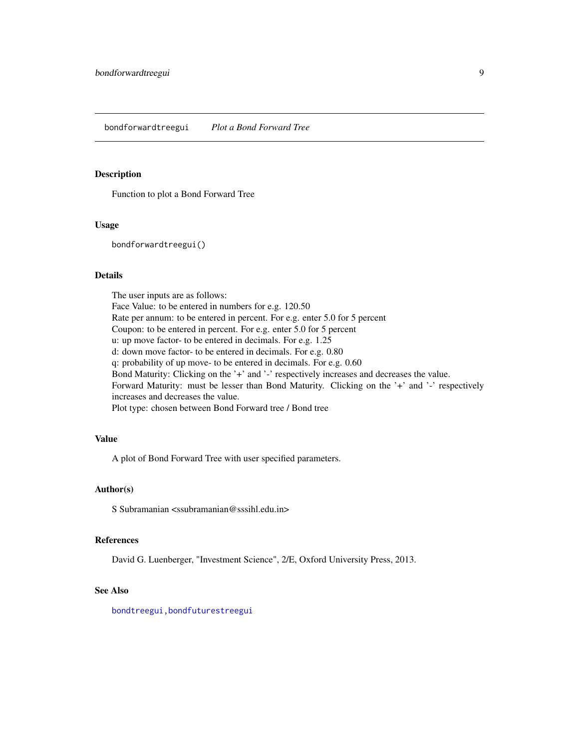<span id="page-8-1"></span><span id="page-8-0"></span>Function to plot a Bond Forward Tree

#### Usage

bondforwardtreegui()

### Details

The user inputs are as follows: Face Value: to be entered in numbers for e.g. 120.50 Rate per annum: to be entered in percent. For e.g. enter 5.0 for 5 percent Coupon: to be entered in percent. For e.g. enter 5.0 for 5 percent u: up move factor- to be entered in decimals. For e.g. 1.25 d: down move factor- to be entered in decimals. For e.g. 0.80 q: probability of up move- to be entered in decimals. For e.g. 0.60 Bond Maturity: Clicking on the '+' and '-' respectively increases and decreases the value. Forward Maturity: must be lesser than Bond Maturity. Clicking on the '+' and '-' respectively increases and decreases the value. Plot type: chosen between Bond Forward tree / Bond tree

### Value

A plot of Bond Forward Tree with user specified parameters.

### Author(s)

S Subramanian <ssubramanian@sssihl.edu.in>

#### References

David G. Luenberger, "Investment Science", 2/E, Oxford University Press, 2013.

#### See Also

[bondtreegui](#page-12-1)[,bondfuturestreegui](#page-9-1)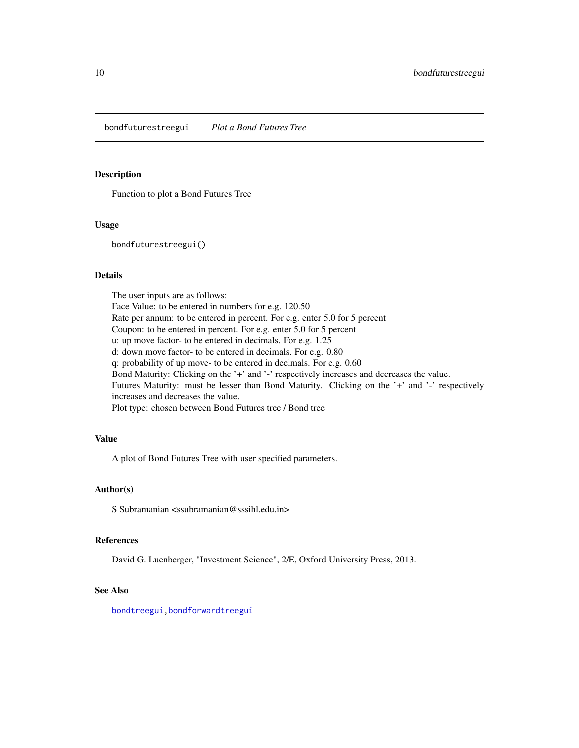<span id="page-9-1"></span><span id="page-9-0"></span>bondfuturestreegui *Plot a Bond Futures Tree*

#### Description

Function to plot a Bond Futures Tree

#### Usage

bondfuturestreegui()

### Details

The user inputs are as follows: Face Value: to be entered in numbers for e.g. 120.50 Rate per annum: to be entered in percent. For e.g. enter 5.0 for 5 percent Coupon: to be entered in percent. For e.g. enter 5.0 for 5 percent u: up move factor- to be entered in decimals. For e.g. 1.25 d: down move factor- to be entered in decimals. For e.g. 0.80 q: probability of up move- to be entered in decimals. For e.g. 0.60 Bond Maturity: Clicking on the '+' and '-' respectively increases and decreases the value. Futures Maturity: must be lesser than Bond Maturity. Clicking on the '+' and '-' respectively increases and decreases the value. Plot type: chosen between Bond Futures tree / Bond tree

### Value

A plot of Bond Futures Tree with user specified parameters.

### Author(s)

S Subramanian <ssubramanian@sssihl.edu.in>

#### References

David G. Luenberger, "Investment Science", 2/E, Oxford University Press, 2013.

#### See Also

[bondtreegui](#page-12-1)[,bondforwardtreegui](#page-8-1)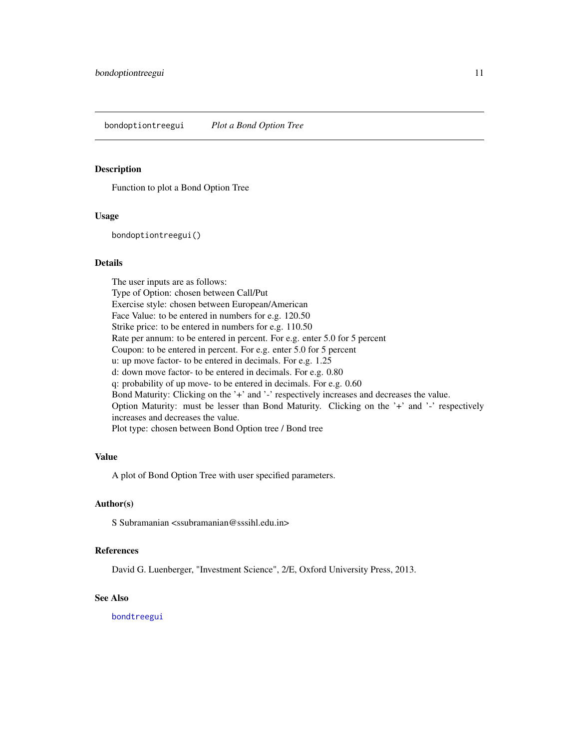<span id="page-10-1"></span><span id="page-10-0"></span>bondoptiontreegui *Plot a Bond Option Tree*

#### Description

Function to plot a Bond Option Tree

#### Usage

bondoptiontreegui()

#### Details

The user inputs are as follows: Type of Option: chosen between Call/Put Exercise style: chosen between European/American Face Value: to be entered in numbers for e.g. 120.50 Strike price: to be entered in numbers for e.g. 110.50 Rate per annum: to be entered in percent. For e.g. enter 5.0 for 5 percent Coupon: to be entered in percent. For e.g. enter 5.0 for 5 percent u: up move factor- to be entered in decimals. For e.g. 1.25 d: down move factor- to be entered in decimals. For e.g. 0.80 q: probability of up move- to be entered in decimals. For e.g. 0.60 Bond Maturity: Clicking on the '+' and '-' respectively increases and decreases the value. Option Maturity: must be lesser than Bond Maturity. Clicking on the '+' and '-' respectively increases and decreases the value. Plot type: chosen between Bond Option tree / Bond tree

### Value

A plot of Bond Option Tree with user specified parameters.

### Author(s)

S Subramanian <ssubramanian@sssihl.edu.in>

#### References

David G. Luenberger, "Investment Science", 2/E, Oxford University Press, 2013.

#### See Also

[bondtreegui](#page-12-1)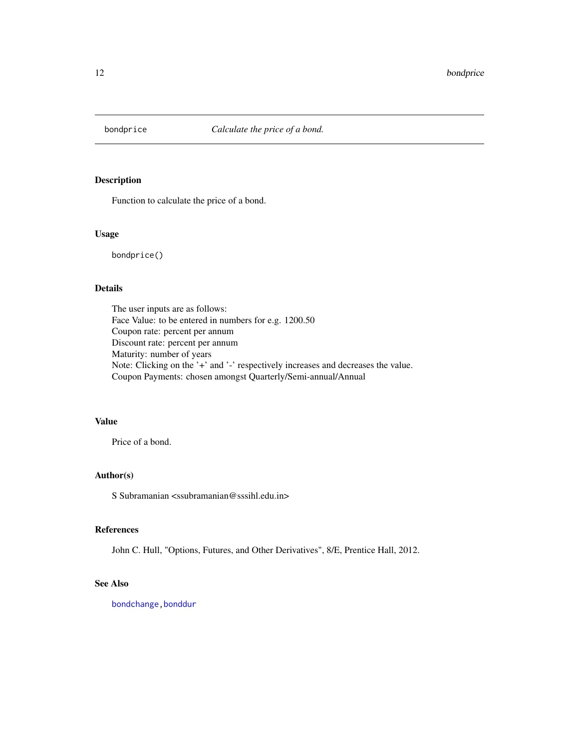<span id="page-11-1"></span><span id="page-11-0"></span>

Function to calculate the price of a bond.

#### Usage

bondprice()

### Details

The user inputs are as follows: Face Value: to be entered in numbers for e.g. 1200.50 Coupon rate: percent per annum Discount rate: percent per annum Maturity: number of years Note: Clicking on the '+' and '-' respectively increases and decreases the value. Coupon Payments: chosen amongst Quarterly/Semi-annual/Annual

### Value

Price of a bond.

#### Author(s)

S Subramanian <ssubramanian@sssihl.edu.in>

### References

John C. Hull, "Options, Futures, and Other Derivatives", 8/E, Prentice Hall, 2012.

### See Also

[bondchange](#page-5-1), bonddur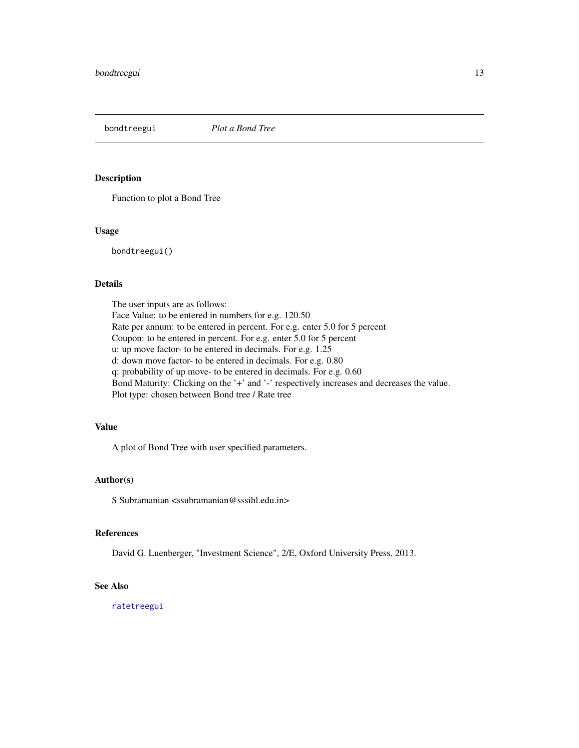<span id="page-12-1"></span><span id="page-12-0"></span>

Function to plot a Bond Tree

#### Usage

bondtreegui()

### Details

The user inputs are as follows: Face Value: to be entered in numbers for e.g. 120.50 Rate per annum: to be entered in percent. For e.g. enter 5.0 for 5 percent Coupon: to be entered in percent. For e.g. enter 5.0 for 5 percent u: up move factor- to be entered in decimals. For e.g. 1.25 d: down move factor- to be entered in decimals. For e.g. 0.80 q: probability of up move- to be entered in decimals. For e.g. 0.60 Bond Maturity: Clicking on the '+' and '-' respectively increases and decreases the value. Plot type: chosen between Bond tree / Rate tree

### Value

A plot of Bond Tree with user specified parameters.

### Author(s)

S Subramanian <ssubramanian@sssihl.edu.in>

#### References

David G. Luenberger, "Investment Science", 2/E, Oxford University Press, 2013.

### See Also

[ratetreegui](#page-42-1)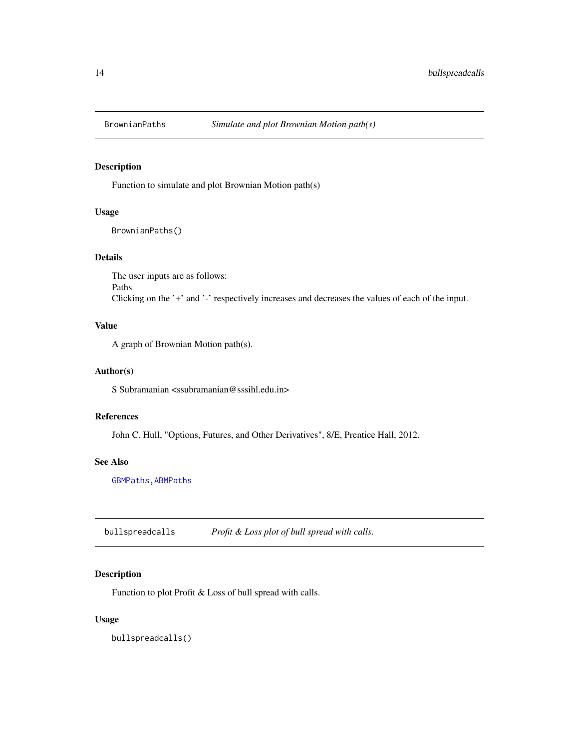<span id="page-13-1"></span><span id="page-13-0"></span>

Function to simulate and plot Brownian Motion path(s)

### Usage

BrownianPaths()

### Details

The user inputs are as follows: Paths Clicking on the '+' and '-' respectively increases and decreases the values of each of the input.

### Value

A graph of Brownian Motion path(s).

#### Author(s)

S Subramanian <ssubramanian@sssihl.edu.in>

### References

John C. Hull, "Options, Futures, and Other Derivatives", 8/E, Prentice Hall, 2012.

### See Also

[GBMPaths](#page-31-1)[,ABMPaths](#page-2-1)

<span id="page-13-2"></span>bullspreadcalls *Profit & Loss plot of bull spread with calls.*

### Description

Function to plot Profit & Loss of bull spread with calls.

### Usage

bullspreadcalls()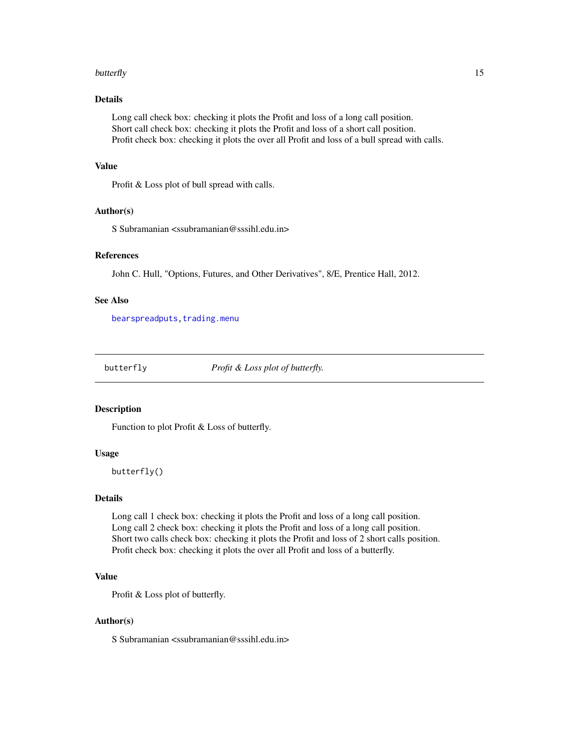#### <span id="page-14-0"></span>butterfly the contract of the contract of the contract of the contract of the contract of the contract of the contract of the contract of the contract of the contract of the contract of the contract of the contract of the

### Details

Long call check box: checking it plots the Profit and loss of a long call position. Short call check box: checking it plots the Profit and loss of a short call position. Profit check box: checking it plots the over all Profit and loss of a bull spread with calls.

### Value

Profit & Loss plot of bull spread with calls.

#### Author(s)

S Subramanian <ssubramanian@sssihl.edu.in>

### References

John C. Hull, "Options, Futures, and Other Derivatives", 8/E, Prentice Hall, 2012.

#### See Also

[bearspreadputs](#page-3-1), trading.menu

<span id="page-14-1"></span>

butterfly *Profit & Loss plot of butterfly.*

#### Description

Function to plot Profit & Loss of butterfly.

#### Usage

butterfly()

#### Details

Long call 1 check box: checking it plots the Profit and loss of a long call position. Long call 2 check box: checking it plots the Profit and loss of a long call position. Short two calls check box: checking it plots the Profit and loss of 2 short calls position. Profit check box: checking it plots the over all Profit and loss of a butterfly.

### Value

Profit & Loss plot of butterfly.

#### Author(s)

S Subramanian <ssubramanian@sssihl.edu.in>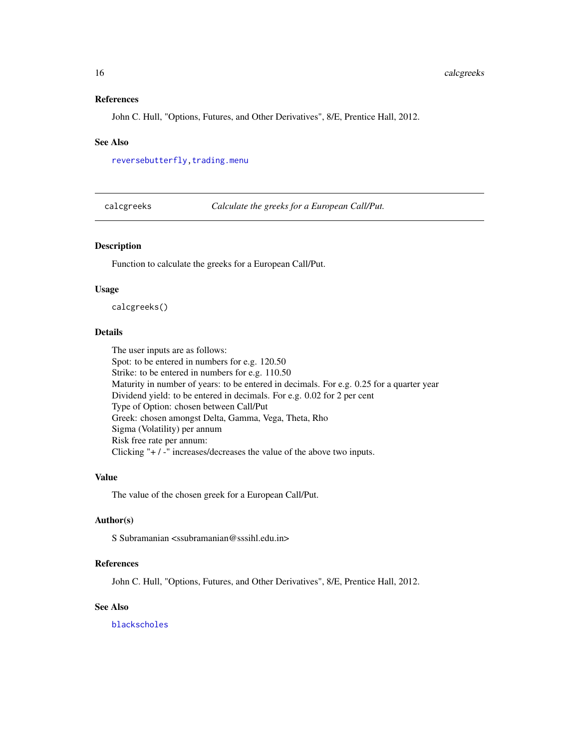#### <span id="page-15-0"></span>References

John C. Hull, "Options, Futures, and Other Derivatives", 8/E, Prentice Hall, 2012.

#### See Also

[reversebutterfly](#page-43-1), trading.menu

<span id="page-15-1"></span>calcgreeks *Calculate the greeks for a European Call/Put.*

#### Description

Function to calculate the greeks for a European Call/Put.

#### Usage

calcgreeks()

### Details

The user inputs are as follows: Spot: to be entered in numbers for e.g. 120.50 Strike: to be entered in numbers for e.g. 110.50 Maturity in number of years: to be entered in decimals. For e.g. 0.25 for a quarter year Dividend yield: to be entered in decimals. For e.g. 0.02 for 2 per cent Type of Option: chosen between Call/Put Greek: chosen amongst Delta, Gamma, Vega, Theta, Rho Sigma (Volatility) per annum Risk free rate per annum: Clicking "+ / -" increases/decreases the value of the above two inputs.

### Value

The value of the chosen greek for a European Call/Put.

### Author(s)

S Subramanian <ssubramanian@sssihl.edu.in>

#### References

John C. Hull, "Options, Futures, and Other Derivatives", 8/E, Prentice Hall, 2012.

### See Also

[blackscholes](#page-4-1)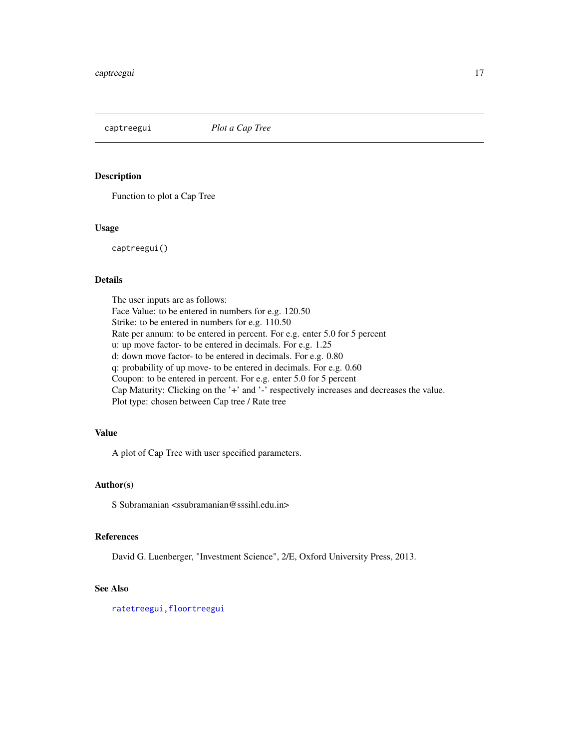<span id="page-16-1"></span><span id="page-16-0"></span>

Function to plot a Cap Tree

### Usage

captreegui()

#### Details

The user inputs are as follows: Face Value: to be entered in numbers for e.g. 120.50 Strike: to be entered in numbers for e.g. 110.50 Rate per annum: to be entered in percent. For e.g. enter 5.0 for 5 percent u: up move factor- to be entered in decimals. For e.g. 1.25 d: down move factor- to be entered in decimals. For e.g. 0.80 q: probability of up move- to be entered in decimals. For e.g. 0.60 Coupon: to be entered in percent. For e.g. enter 5.0 for 5 percent Cap Maturity: Clicking on the '+' and '-' respectively increases and decreases the value. Plot type: chosen between Cap tree / Rate tree

### Value

A plot of Cap Tree with user specified parameters.

### Author(s)

S Subramanian <ssubramanian@sssihl.edu.in>

#### References

David G. Luenberger, "Investment Science", 2/E, Oxford University Press, 2013.

### See Also

[ratetreegui](#page-42-1)[,floortreegui](#page-22-1)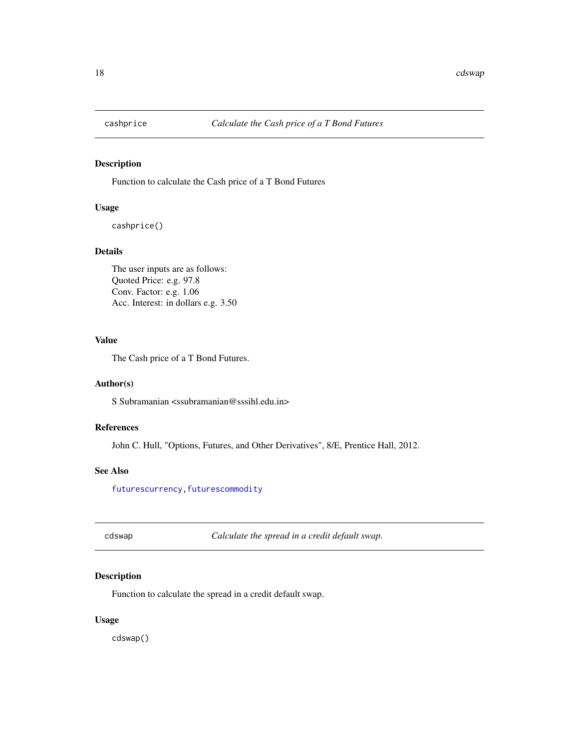<span id="page-17-0"></span>

Function to calculate the Cash price of a T Bond Futures

### Usage

cashprice()

#### Details

The user inputs are as follows: Quoted Price: e.g. 97.8 Conv. Factor: e.g. 1.06 Acc. Interest: in dollars e.g. 3.50

### Value

The Cash price of a T Bond Futures.

### Author(s)

S Subramanian <ssubramanian@sssihl.edu.in>

### References

John C. Hull, "Options, Futures, and Other Derivatives", 8/E, Prentice Hall, 2012.

#### See Also

[futurescurrency](#page-28-1), futurescommodity

<span id="page-17-1"></span>cdswap *Calculate the spread in a credit default swap.*

### Description

Function to calculate the spread in a credit default swap.

### Usage

cdswap()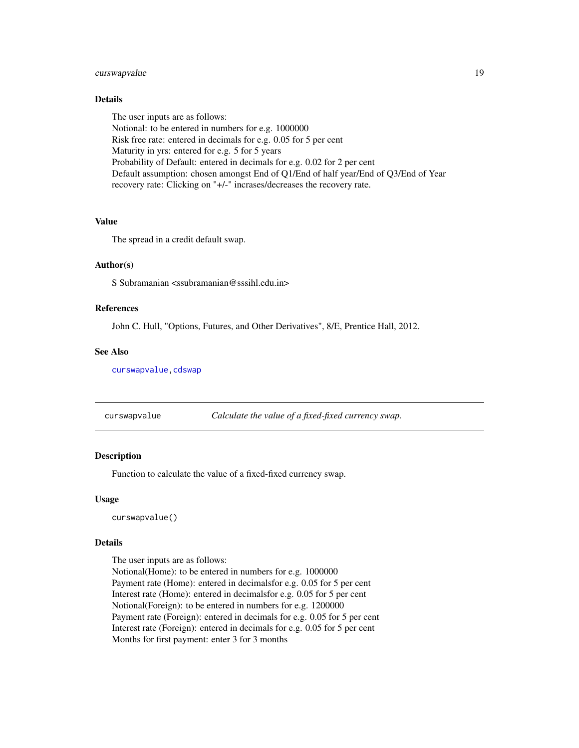### <span id="page-18-0"></span>curswapvalue 19

### Details

The user inputs are as follows: Notional: to be entered in numbers for e.g. 1000000 Risk free rate: entered in decimals for e.g. 0.05 for 5 per cent Maturity in yrs: entered for e.g. 5 for 5 years Probability of Default: entered in decimals for e.g. 0.02 for 2 per cent Default assumption: chosen amongst End of Q1/End of half year/End of Q3/End of Year recovery rate: Clicking on "+/-" incrases/decreases the recovery rate.

#### Value

The spread in a credit default swap.

### Author(s)

S Subramanian <ssubramanian@sssihl.edu.in>

#### References

John C. Hull, "Options, Futures, and Other Derivatives", 8/E, Prentice Hall, 2012.

#### See Also

[curswapvalue](#page-18-1)[,cdswap](#page-17-1)

<span id="page-18-1"></span>curswapvalue *Calculate the value of a fixed-fixed currency swap.*

#### Description

Function to calculate the value of a fixed-fixed currency swap.

#### Usage

curswapvalue()

### Details

The user inputs are as follows:

Notional(Home): to be entered in numbers for e.g. 1000000 Payment rate (Home): entered in decimalsfor e.g. 0.05 for 5 per cent Interest rate (Home): entered in decimalsfor e.g. 0.05 for 5 per cent Notional(Foreign): to be entered in numbers for e.g. 1200000 Payment rate (Foreign): entered in decimals for e.g. 0.05 for 5 per cent Interest rate (Foreign): entered in decimals for e.g. 0.05 for 5 per cent Months for first payment: enter 3 for 3 months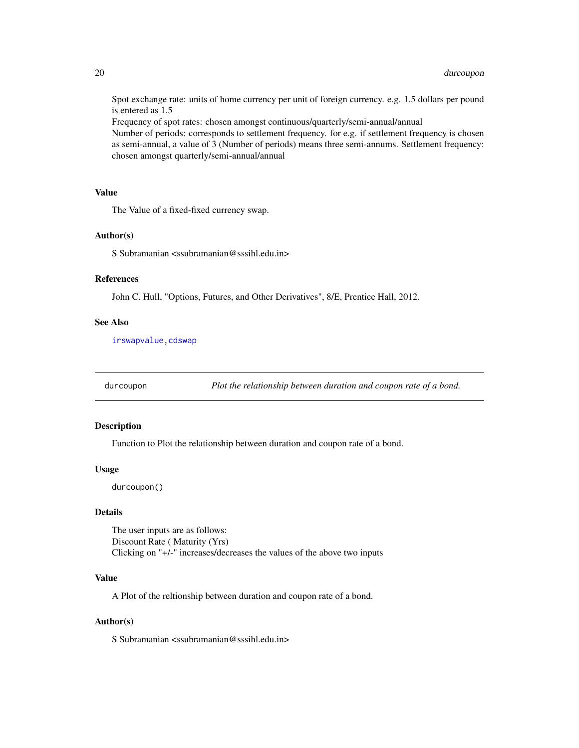<span id="page-19-0"></span>Spot exchange rate: units of home currency per unit of foreign currency. e.g. 1.5 dollars per pound is entered as 1.5

Frequency of spot rates: chosen amongst continuous/quarterly/semi-annual/annual

Number of periods: corresponds to settlement frequency. for e.g. if settlement frequency is chosen as semi-annual, a value of 3 (Number of periods) means three semi-annums. Settlement frequency: chosen amongst quarterly/semi-annual/annual

### Value

The Value of a fixed-fixed currency swap.

#### Author(s)

S Subramanian <ssubramanian@sssihl.edu.in>

#### References

John C. Hull, "Options, Futures, and Other Derivatives", 8/E, Prentice Hall, 2012.

### See Also

[irswapvalue](#page-35-1)[,cdswap](#page-17-1)

durcoupon *Plot the relationship between duration and coupon rate of a bond.*

### Description

Function to Plot the relationship between duration and coupon rate of a bond.

#### Usage

durcoupon()

#### Details

The user inputs are as follows: Discount Rate ( Maturity (Yrs) Clicking on "+/-" increases/decreases the values of the above two inputs

#### Value

A Plot of the reltionship between duration and coupon rate of a bond.

#### Author(s)

S Subramanian <ssubramanian@sssihl.edu.in>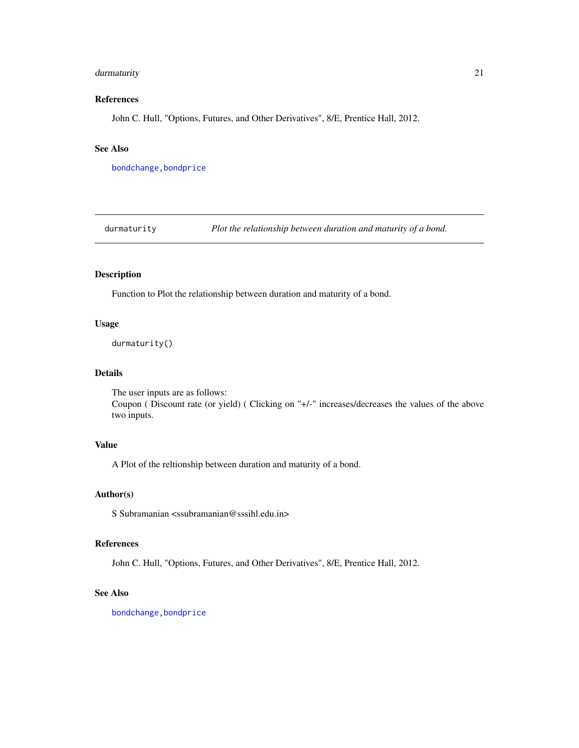### <span id="page-20-0"></span>durmaturity 21

### References

John C. Hull, "Options, Futures, and Other Derivatives", 8/E, Prentice Hall, 2012.

### See Also

[bondchange](#page-5-1)[,bondprice](#page-11-1)

durmaturity *Plot the relationship between duration and maturity of a bond.*

### Description

Function to Plot the relationship between duration and maturity of a bond.

#### Usage

durmaturity()

### Details

The user inputs are as follows: Coupon ( Discount rate (or yield) ( Clicking on "+/-" increases/decreases the values of the above two inputs.

### Value

A Plot of the reltionship between duration and maturity of a bond.

#### Author(s)

S Subramanian <ssubramanian@sssihl.edu.in>

#### References

John C. Hull, "Options, Futures, and Other Derivatives", 8/E, Prentice Hall, 2012.

### See Also

[bondchange](#page-5-1)[,bondprice](#page-11-1)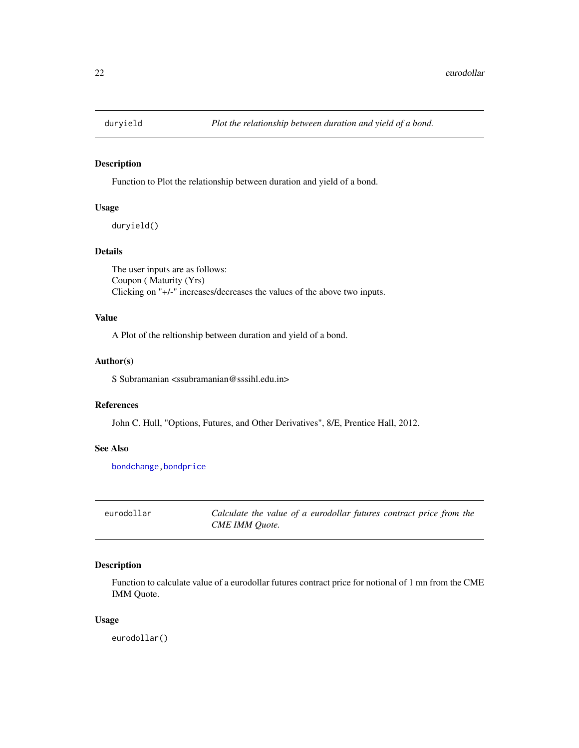<span id="page-21-0"></span>

Function to Plot the relationship between duration and yield of a bond.

### Usage

duryield()

### Details

The user inputs are as follows: Coupon ( Maturity (Yrs) Clicking on "+/-" increases/decreases the values of the above two inputs.

### Value

A Plot of the reltionship between duration and yield of a bond.

#### Author(s)

S Subramanian <ssubramanian@sssihl.edu.in>

### References

John C. Hull, "Options, Futures, and Other Derivatives", 8/E, Prentice Hall, 2012.

#### See Also

[bondchange](#page-5-1)[,bondprice](#page-11-1)

eurodollar *Calculate the value of a eurodollar futures contract price from the CME IMM Quote.*

#### Description

Function to calculate value of a eurodollar futures contract price for notional of 1 mn from the CME IMM Quote.

#### Usage

eurodollar()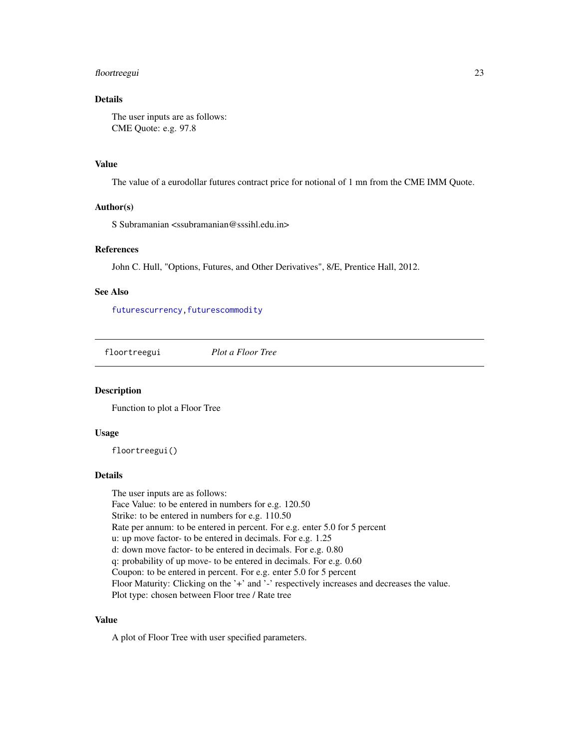### <span id="page-22-0"></span>floortreegui 23

### Details

The user inputs are as follows: CME Quote: e.g. 97.8

#### Value

The value of a eurodollar futures contract price for notional of 1 mn from the CME IMM Quote.

#### Author(s)

S Subramanian <ssubramanian@sssihl.edu.in>

### References

John C. Hull, "Options, Futures, and Other Derivatives", 8/E, Prentice Hall, 2012.

### See Also

[futurescurrency](#page-28-1), futurescommodity

<span id="page-22-1"></span>floortreegui *Plot a Floor Tree*

#### Description

Function to plot a Floor Tree

#### Usage

floortreegui()

#### Details

The user inputs are as follows: Face Value: to be entered in numbers for e.g. 120.50

Strike: to be entered in numbers for e.g. 110.50

Rate per annum: to be entered in percent. For e.g. enter 5.0 for 5 percent

u: up move factor- to be entered in decimals. For e.g. 1.25

d: down move factor- to be entered in decimals. For e.g. 0.80

q: probability of up move- to be entered in decimals. For e.g. 0.60

Coupon: to be entered in percent. For e.g. enter 5.0 for 5 percent

Floor Maturity: Clicking on the '+' and '-' respectively increases and decreases the value.

Plot type: chosen between Floor tree / Rate tree

### Value

A plot of Floor Tree with user specified parameters.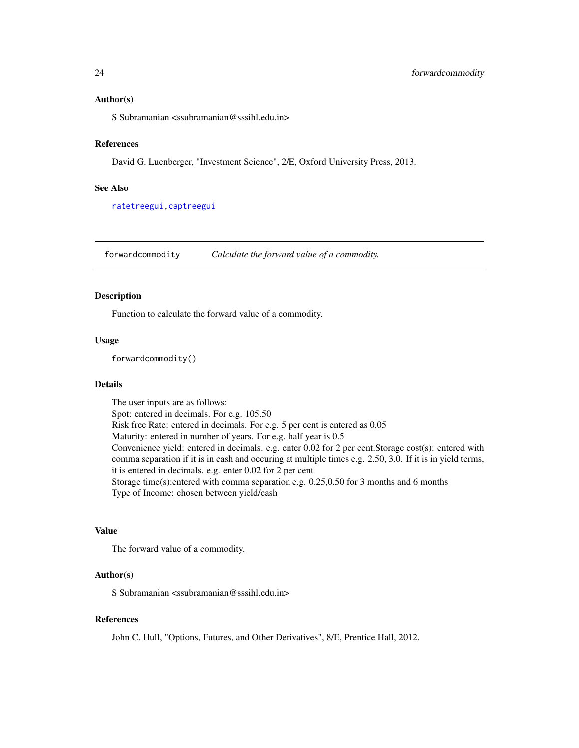#### <span id="page-23-0"></span>Author(s)

S Subramanian <ssubramanian@sssihl.edu.in>

#### References

David G. Luenberger, "Investment Science", 2/E, Oxford University Press, 2013.

#### See Also

[ratetreegui](#page-42-1)[,captreegui](#page-16-1)

<span id="page-23-1"></span>forwardcommodity *Calculate the forward value of a commodity.*

### Description

Function to calculate the forward value of a commodity.

#### Usage

forwardcommodity()

### Details

The user inputs are as follows: Spot: entered in decimals. For e.g. 105.50 Risk free Rate: entered in decimals. For e.g. 5 per cent is entered as 0.05 Maturity: entered in number of years. For e.g. half year is 0.5 Convenience yield: entered in decimals. e.g. enter 0.02 for 2 per cent.Storage cost(s): entered with comma separation if it is in cash and occuring at multiple times e.g. 2.50, 3.0. If it is in yield terms, it is entered in decimals. e.g. enter 0.02 for 2 per cent Storage time(s): entered with comma separation e.g.  $0.25,0.50$  for 3 months and 6 months Type of Income: chosen between yield/cash

#### Value

The forward value of a commodity.

#### Author(s)

S Subramanian <ssubramanian@sssihl.edu.in>

#### References

John C. Hull, "Options, Futures, and Other Derivatives", 8/E, Prentice Hall, 2012.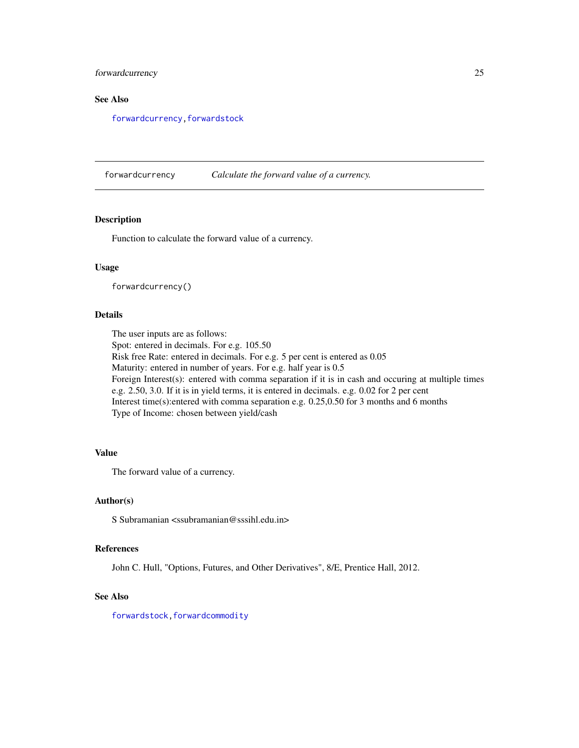### <span id="page-24-0"></span>forwardcurrency 25

### See Also

[forwardcurrency](#page-24-1)[,forwardstock](#page-25-1)

<span id="page-24-1"></span>forwardcurrency *Calculate the forward value of a currency.*

### Description

Function to calculate the forward value of a currency.

#### Usage

forwardcurrency()

### Details

The user inputs are as follows:

Spot: entered in decimals. For e.g. 105.50

Risk free Rate: entered in decimals. For e.g. 5 per cent is entered as 0.05 Maturity: entered in number of years. For e.g. half year is 0.5 Foreign Interest(s): entered with comma separation if it is in cash and occuring at multiple times e.g. 2.50, 3.0. If it is in yield terms, it is entered in decimals. e.g. 0.02 for 2 per cent Interest time(s):entered with comma separation e.g. 0.25,0.50 for 3 months and 6 months Type of Income: chosen between yield/cash

### Value

The forward value of a currency.

#### Author(s)

S Subramanian <ssubramanian@sssihl.edu.in>

#### References

John C. Hull, "Options, Futures, and Other Derivatives", 8/E, Prentice Hall, 2012.

#### See Also

[forwardstock](#page-25-1), forwardcommodity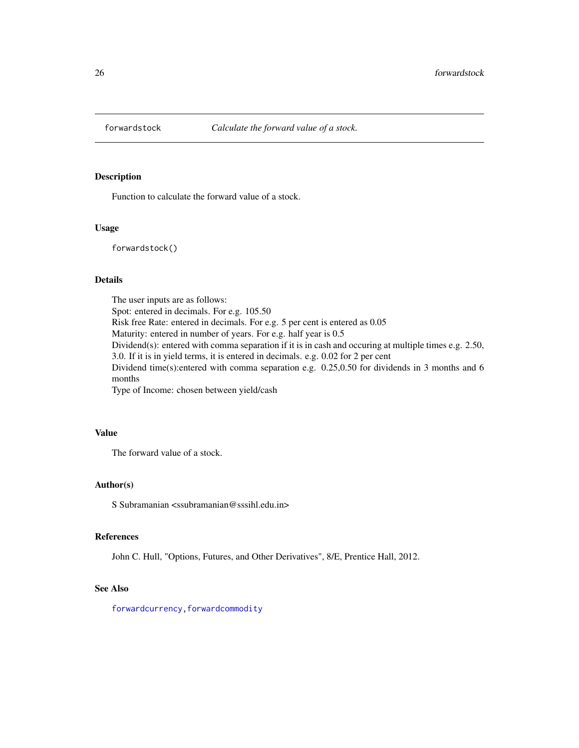<span id="page-25-1"></span><span id="page-25-0"></span>

Function to calculate the forward value of a stock.

### Usage

forwardstock()

#### Details

The user inputs are as follows: Spot: entered in decimals. For e.g. 105.50 Risk free Rate: entered in decimals. For e.g. 5 per cent is entered as 0.05 Maturity: entered in number of years. For e.g. half year is 0.5 Dividend(s): entered with comma separation if it is in cash and occuring at multiple times e.g. 2.50, 3.0. If it is in yield terms, it is entered in decimals. e.g. 0.02 for 2 per cent Dividend time(s):entered with comma separation e.g. 0.25,0.50 for dividends in 3 months and 6 months Type of Income: chosen between yield/cash

### Value

The forward value of a stock.

### Author(s)

S Subramanian <ssubramanian@sssihl.edu.in>

#### References

John C. Hull, "Options, Futures, and Other Derivatives", 8/E, Prentice Hall, 2012.

#### See Also

[forwardcurrency](#page-24-1), forwardcommodity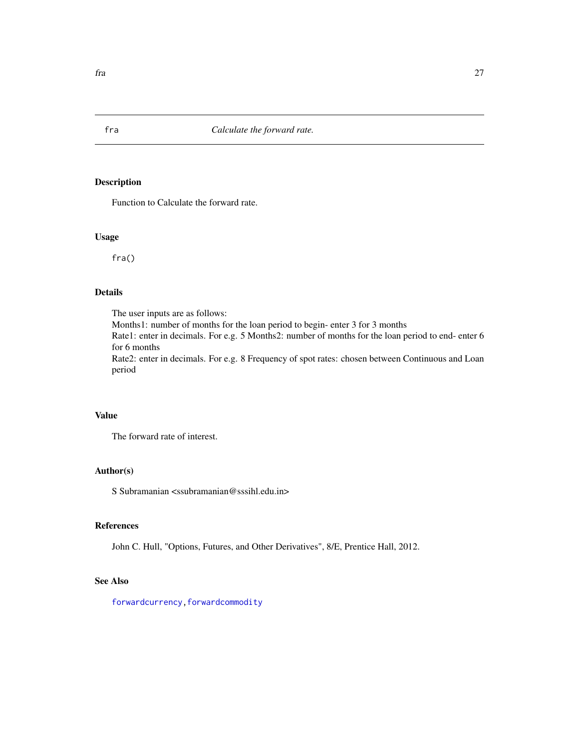Function to Calculate the forward rate.

#### Usage

fra()

### Details

The user inputs are as follows:

Months1: number of months for the loan period to begin- enter 3 for 3 months Rate1: enter in decimals. For e.g. 5 Months2: number of months for the loan period to end- enter 6 for 6 months

Rate2: enter in decimals. For e.g. 8 Frequency of spot rates: chosen between Continuous and Loan period

### Value

The forward rate of interest.

#### Author(s)

S Subramanian  $\langle$ ssubramanian@sssihl.edu.in>

### References

John C. Hull, "Options, Futures, and Other Derivatives", 8/E, Prentice Hall, 2012.

### See Also

[forwardcurrency](#page-24-1), forwardcommodity

<span id="page-26-1"></span><span id="page-26-0"></span>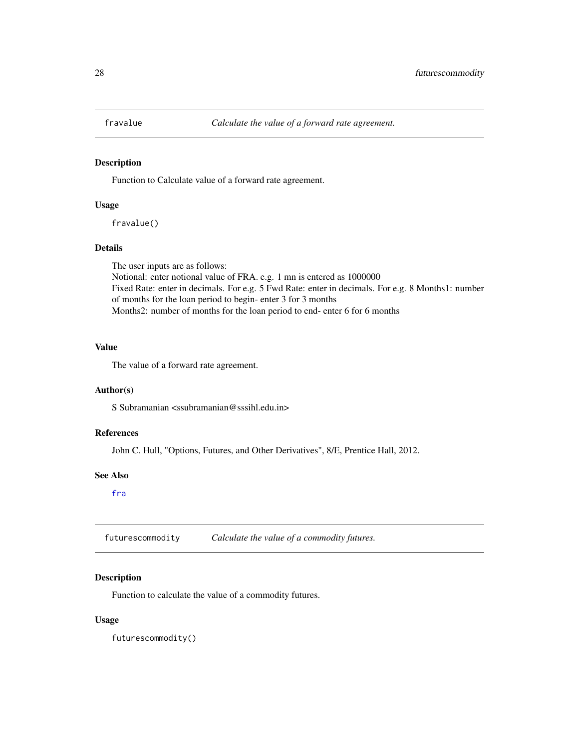<span id="page-27-0"></span>

Function to Calculate value of a forward rate agreement.

#### Usage

fravalue()

### Details

The user inputs are as follows: Notional: enter notional value of FRA. e.g. 1 mn is entered as 1000000 Fixed Rate: enter in decimals. For e.g. 5 Fwd Rate: enter in decimals. For e.g. 8 Months1: number of months for the loan period to begin- enter 3 for 3 months Months2: number of months for the loan period to end- enter 6 for 6 months

### Value

The value of a forward rate agreement.

#### Author(s)

S Subramanian <ssubramanian@sssihl.edu.in>

### References

John C. Hull, "Options, Futures, and Other Derivatives", 8/E, Prentice Hall, 2012.

#### See Also

[fra](#page-26-1)

<span id="page-27-1"></span>futurescommodity *Calculate the value of a commodity futures.*

### Description

Function to calculate the value of a commodity futures.

#### Usage

futurescommodity()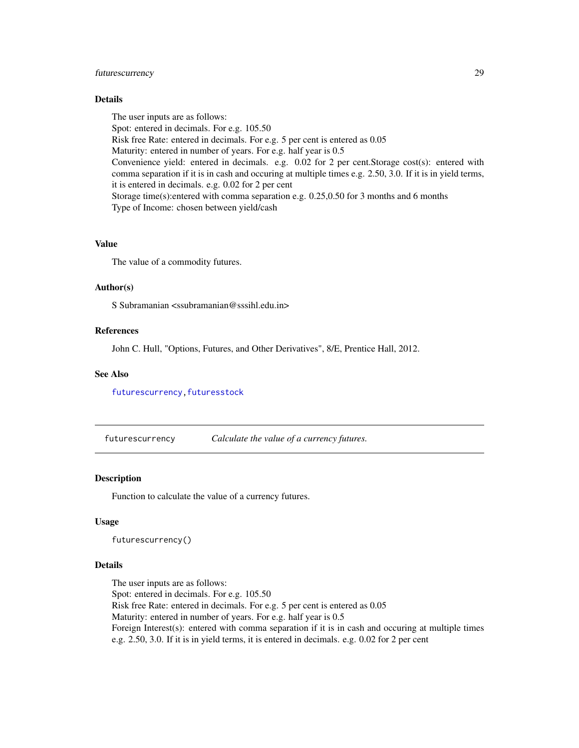### <span id="page-28-0"></span>futurescurrency 29

### Details

The user inputs are as follows: Spot: entered in decimals. For e.g. 105.50 Risk free Rate: entered in decimals. For e.g. 5 per cent is entered as 0.05 Maturity: entered in number of years. For e.g. half year is 0.5 Convenience yield: entered in decimals. e.g. 0.02 for 2 per cent.Storage cost(s): entered with comma separation if it is in cash and occuring at multiple times e.g. 2.50, 3.0. If it is in yield terms, it is entered in decimals. e.g. 0.02 for 2 per cent Storage time(s):entered with comma separation e.g. 0.25,0.50 for 3 months and 6 months Type of Income: chosen between yield/cash

#### Value

The value of a commodity futures.

### Author(s)

S Subramanian <ssubramanian@sssihl.edu.in>

#### References

John C. Hull, "Options, Futures, and Other Derivatives", 8/E, Prentice Hall, 2012.

#### See Also

[futurescurrency](#page-28-1), futuresstock

<span id="page-28-1"></span>futurescurrency *Calculate the value of a currency futures.*

#### Description

Function to calculate the value of a currency futures.

#### Usage

futurescurrency()

#### Details

The user inputs are as follows: Spot: entered in decimals. For e.g. 105.50 Risk free Rate: entered in decimals. For e.g. 5 per cent is entered as 0.05 Maturity: entered in number of years. For e.g. half year is 0.5 Foreign Interest(s): entered with comma separation if it is in cash and occuring at multiple times e.g. 2.50, 3.0. If it is in yield terms, it is entered in decimals. e.g. 0.02 for 2 per cent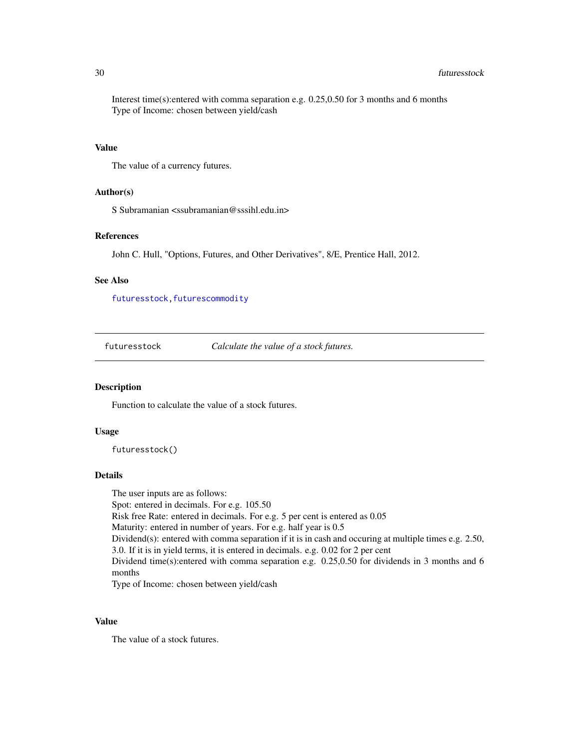#### 30 futuresstock

Interest time(s):entered with comma separation e.g. 0.25,0.50 for 3 months and 6 months Type of Income: chosen between yield/cash

#### Value

The value of a currency futures.

### Author(s)

S Subramanian <ssubramanian@sssihl.edu.in>

#### References

John C. Hull, "Options, Futures, and Other Derivatives", 8/E, Prentice Hall, 2012.

#### See Also

[futuresstock](#page-29-1), futurescommodity

<span id="page-29-1"></span>futuresstock *Calculate the value of a stock futures.*

### Description

Function to calculate the value of a stock futures.

#### Usage

futuresstock()

#### Details

The user inputs are as follows: Spot: entered in decimals. For e.g. 105.50 Risk free Rate: entered in decimals. For e.g. 5 per cent is entered as 0.05 Maturity: entered in number of years. For e.g. half year is 0.5 Dividend(s): entered with comma separation if it is in cash and occuring at multiple times e.g. 2.50, 3.0. If it is in yield terms, it is entered in decimals. e.g. 0.02 for 2 per cent Dividend time(s):entered with comma separation e.g. 0.25,0.50 for dividends in 3 months and 6 months Type of Income: chosen between yield/cash

#### Value

The value of a stock futures.

<span id="page-29-0"></span>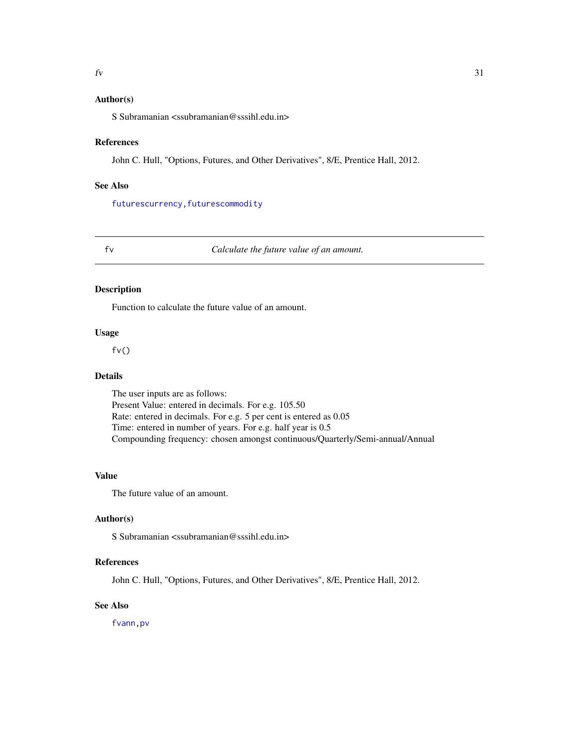### <span id="page-30-0"></span>Author(s)

S Subramanian <ssubramanian@sssihl.edu.in>

#### References

John C. Hull, "Options, Futures, and Other Derivatives", 8/E, Prentice Hall, 2012.

#### See Also

[futurescurrency](#page-28-1), futurescommodity

<span id="page-30-1"></span>

#### fv *Calculate the future value of an amount.*

#### Description

Function to calculate the future value of an amount.

### Usage

 $f(v()$ 

### Details

The user inputs are as follows: Present Value: entered in decimals. For e.g. 105.50 Rate: entered in decimals. For e.g. 5 per cent is entered as 0.05 Time: entered in number of years. For e.g. half year is 0.5 Compounding frequency: chosen amongst continuous/Quarterly/Semi-annual/Annual

#### Value

The future value of an amount.

#### Author(s)

S Subramanian <ssubramanian@sssihl.edu.in>

#### References

John C. Hull, "Options, Futures, and Other Derivatives", 8/E, Prentice Hall, 2012.

### See Also

[fvann](#page-31-2)[,pv](#page-39-1)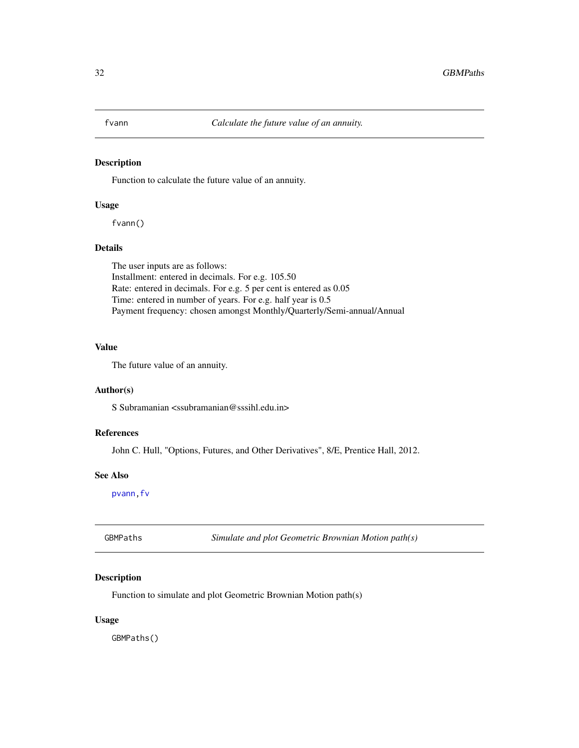<span id="page-31-2"></span><span id="page-31-0"></span>

Function to calculate the future value of an annuity.

#### Usage

fvann()

### Details

The user inputs are as follows: Installment: entered in decimals. For e.g. 105.50 Rate: entered in decimals. For e.g. 5 per cent is entered as 0.05 Time: entered in number of years. For e.g. half year is 0.5 Payment frequency: chosen amongst Monthly/Quarterly/Semi-annual/Annual

#### Value

The future value of an annuity.

#### Author(s)

S Subramanian <ssubramanian@sssihl.edu.in>

### References

John C. Hull, "Options, Futures, and Other Derivatives", 8/E, Prentice Hall, 2012.

#### See Also

[pvann](#page-40-1)[,fv](#page-30-1)

<span id="page-31-1"></span>GBMPaths *Simulate and plot Geometric Brownian Motion path(s)*

#### Description

Function to simulate and plot Geometric Brownian Motion path(s)

#### Usage

GBMPaths()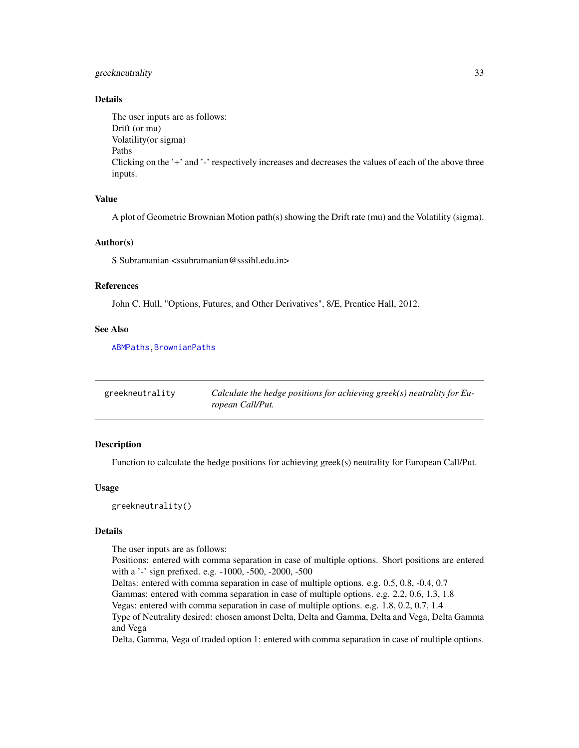### <span id="page-32-0"></span>greekneutrality 33

### Details

The user inputs are as follows: Drift (or mu) Volatility(or sigma) Paths Clicking on the '+' and '-' respectively increases and decreases the values of each of the above three inputs.

### Value

A plot of Geometric Brownian Motion path(s) showing the Drift rate (mu) and the Volatility (sigma).

#### Author(s)

S Subramanian <ssubramanian@sssihl.edu.in>

### References

John C. Hull, "Options, Futures, and Other Derivatives", 8/E, Prentice Hall, 2012.

#### See Also

[ABMPaths](#page-2-1)[,BrownianPaths](#page-13-1)

| greekneutrality | Calculate the hedge positions for achieving greek(s) neutrality for Eu- |
|-----------------|-------------------------------------------------------------------------|
|                 | ropean Call/Put.                                                        |

### Description

Function to calculate the hedge positions for achieving greek(s) neutrality for European Call/Put.

### Usage

greekneutrality()

#### Details

The user inputs are as follows:

Positions: entered with comma separation in case of multiple options. Short positions are entered with a '-' sign prefixed. e.g. -1000, -500, -2000, -500

Deltas: entered with comma separation in case of multiple options. e.g. 0.5, 0.8, -0.4, 0.7 Gammas: entered with comma separation in case of multiple options. e.g. 2.2, 0.6, 1.3, 1.8 Vegas: entered with comma separation in case of multiple options. e.g. 1.8, 0.2, 0.7, 1.4 Type of Neutrality desired: chosen amonst Delta, Delta and Gamma, Delta and Vega, Delta Gamma

and Vega

Delta, Gamma, Vega of traded option 1: entered with comma separation in case of multiple options.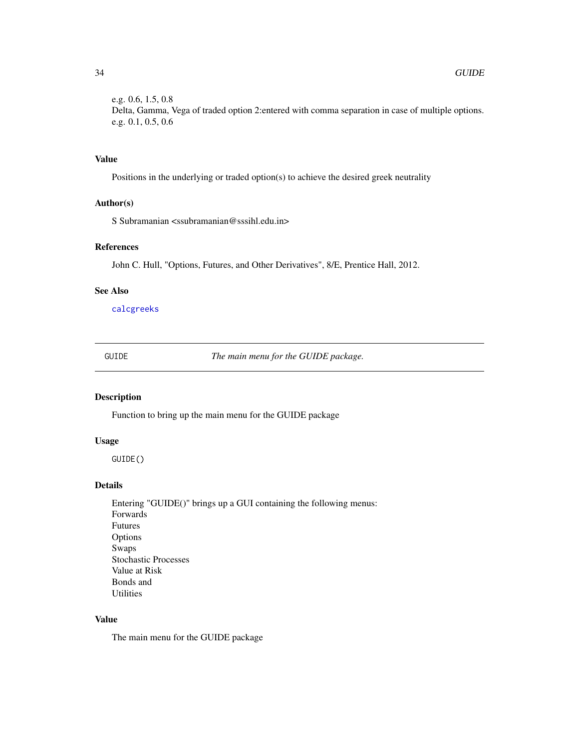<span id="page-33-0"></span>e.g. 0.6, 1.5, 0.8 Delta, Gamma, Vega of traded option 2:entered with comma separation in case of multiple options. e.g. 0.1, 0.5, 0.6

### Value

Positions in the underlying or traded option(s) to achieve the desired greek neutrality

### Author(s)

S Subramanian <ssubramanian@sssihl.edu.in>

### References

John C. Hull, "Options, Futures, and Other Derivatives", 8/E, Prentice Hall, 2012.

#### See Also

[calcgreeks](#page-15-1)

GUIDE *The main menu for the GUIDE package.*

### Description

Function to bring up the main menu for the GUIDE package

### Usage

GUIDE()

### Details

Entering "GUIDE()" brings up a GUI containing the following menus: Forwards Futures Options Swaps Stochastic Processes Value at Risk Bonds and Utilities

### Value

The main menu for the GUIDE package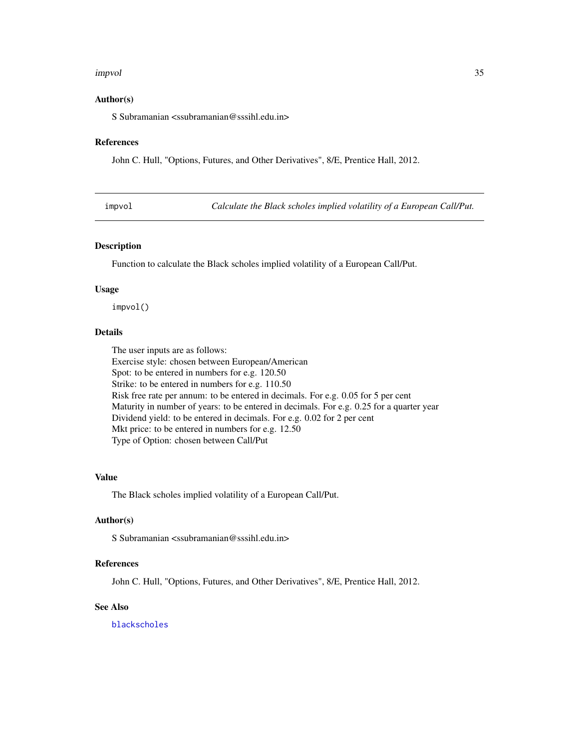#### <span id="page-34-0"></span>impvol 35

#### Author(s)

S Subramanian <ssubramanian@sssihl.edu.in>

#### References

John C. Hull, "Options, Futures, and Other Derivatives", 8/E, Prentice Hall, 2012.

| impvo |  |
|-------|--|
|       |  |
|       |  |

Calculate the Black scholes implied volatility of a European Call/Put.

#### Description

Function to calculate the Black scholes implied volatility of a European Call/Put.

#### Usage

impvol()

### Details

The user inputs are as follows: Exercise style: chosen between European/American Spot: to be entered in numbers for e.g. 120.50 Strike: to be entered in numbers for e.g. 110.50 Risk free rate per annum: to be entered in decimals. For e.g. 0.05 for 5 per cent Maturity in number of years: to be entered in decimals. For e.g. 0.25 for a quarter year Dividend yield: to be entered in decimals. For e.g. 0.02 for 2 per cent Mkt price: to be entered in numbers for e.g. 12.50 Type of Option: chosen between Call/Put

### Value

The Black scholes implied volatility of a European Call/Put.

#### Author(s)

S Subramanian <ssubramanian@sssihl.edu.in>

#### References

John C. Hull, "Options, Futures, and Other Derivatives", 8/E, Prentice Hall, 2012.

### See Also

[blackscholes](#page-4-1)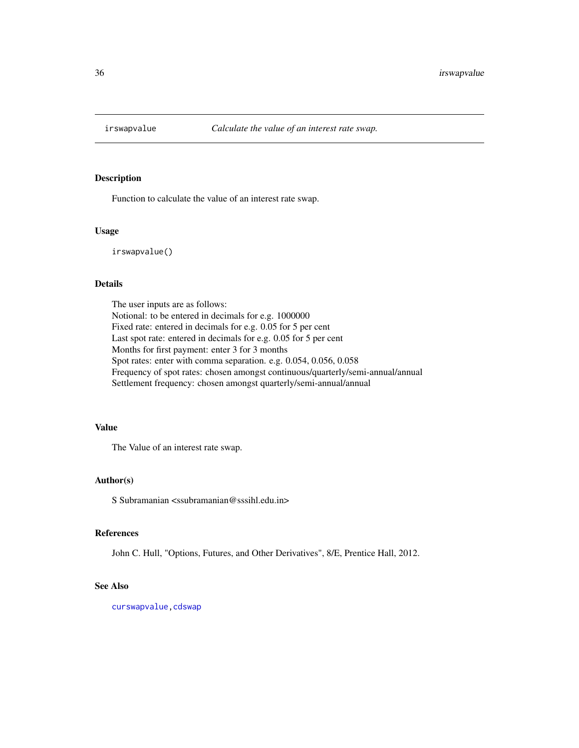<span id="page-35-1"></span><span id="page-35-0"></span>

Function to calculate the value of an interest rate swap.

#### Usage

irswapvalue()

### Details

The user inputs are as follows: Notional: to be entered in decimals for e.g. 1000000 Fixed rate: entered in decimals for e.g. 0.05 for 5 per cent Last spot rate: entered in decimals for e.g. 0.05 for 5 per cent Months for first payment: enter 3 for 3 months Spot rates: enter with comma separation. e.g. 0.054, 0.056, 0.058 Frequency of spot rates: chosen amongst continuous/quarterly/semi-annual/annual Settlement frequency: chosen amongst quarterly/semi-annual/annual

### Value

The Value of an interest rate swap.

### Author(s)

S Subramanian <ssubramanian@sssihl.edu.in>

#### References

John C. Hull, "Options, Futures, and Other Derivatives", 8/E, Prentice Hall, 2012.

### See Also

[curswapvalue](#page-18-1), cdswap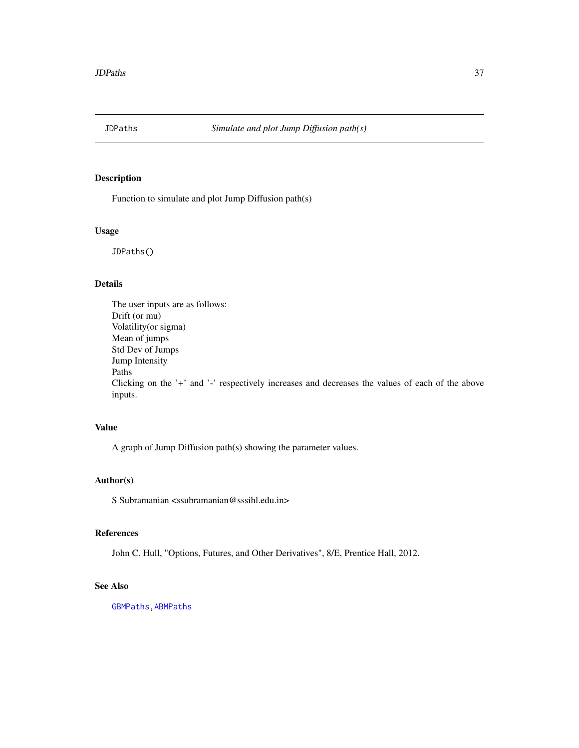<span id="page-36-0"></span>

Function to simulate and plot Jump Diffusion path(s)

#### Usage

JDPaths()

### Details

The user inputs are as follows: Drift (or mu) Volatility(or sigma) Mean of jumps Std Dev of Jumps Jump Intensity Paths Clicking on the '+' and '-' respectively increases and decreases the values of each of the above inputs.

### Value

A graph of Jump Diffusion path(s) showing the parameter values.

### Author(s)

S Subramanian <ssubramanian@sssihl.edu.in>

#### References

John C. Hull, "Options, Futures, and Other Derivatives", 8/E, Prentice Hall, 2012.

### See Also

[GBMPaths](#page-31-1)[,ABMPaths](#page-2-1)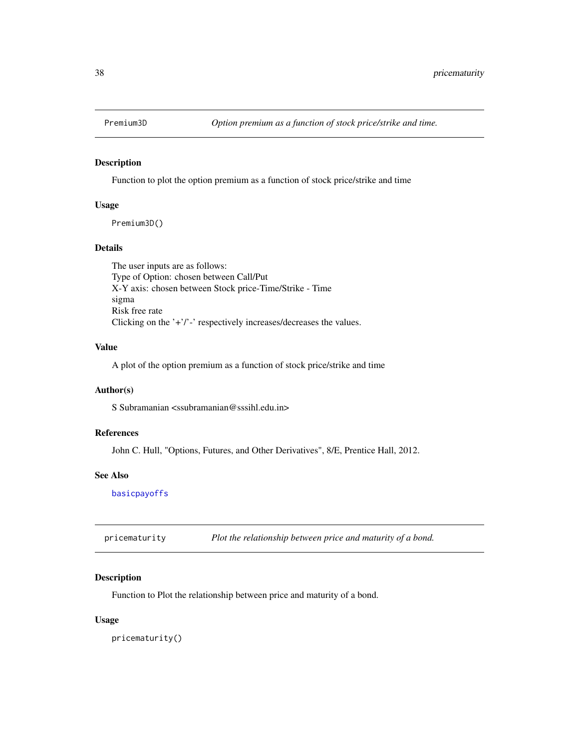<span id="page-37-0"></span>

Function to plot the option premium as a function of stock price/strike and time

#### Usage

Premium3D()

### Details

The user inputs are as follows: Type of Option: chosen between Call/Put X-Y axis: chosen between Stock price-Time/Strike - Time sigma Risk free rate Clicking on the '+'/'-' respectively increases/decreases the values.

### Value

A plot of the option premium as a function of stock price/strike and time

### Author(s)

S Subramanian <ssubramanian@sssihl.edu.in>

#### References

John C. Hull, "Options, Futures, and Other Derivatives", 8/E, Prentice Hall, 2012.

#### See Also

[basicpayoffs](#page-3-2)

<span id="page-37-1"></span>pricematurity *Plot the relationship between price and maturity of a bond.*

### Description

Function to Plot the relationship between price and maturity of a bond.

#### Usage

pricematurity()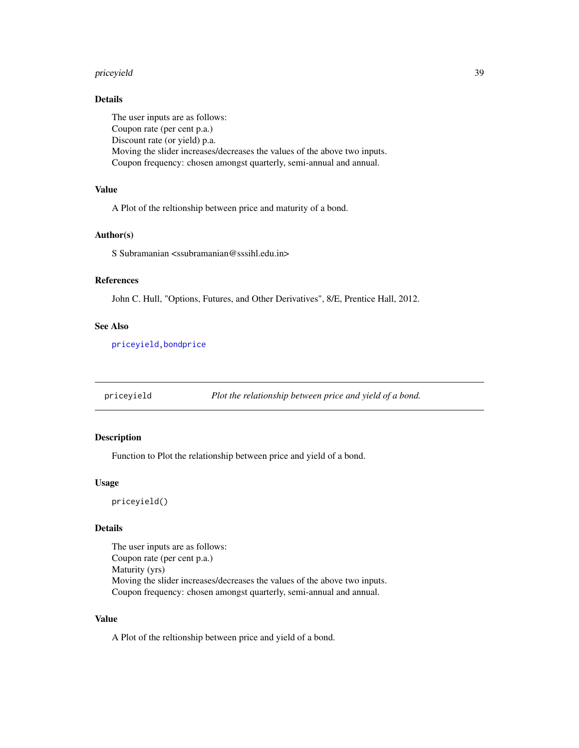#### <span id="page-38-0"></span>priceyield 39

### Details

The user inputs are as follows: Coupon rate (per cent p.a.) Discount rate (or yield) p.a. Moving the slider increases/decreases the values of the above two inputs. Coupon frequency: chosen amongst quarterly, semi-annual and annual.

### Value

A Plot of the reltionship between price and maturity of a bond.

### Author(s)

S Subramanian <ssubramanian@sssihl.edu.in>

#### References

John C. Hull, "Options, Futures, and Other Derivatives", 8/E, Prentice Hall, 2012.

#### See Also

[priceyield](#page-38-1)[,bondprice](#page-11-1)

<span id="page-38-1"></span>priceyield *Plot the relationship between price and yield of a bond.*

### Description

Function to Plot the relationship between price and yield of a bond.

### Usage

priceyield()

#### Details

The user inputs are as follows: Coupon rate (per cent p.a.) Maturity (yrs) Moving the slider increases/decreases the values of the above two inputs. Coupon frequency: chosen amongst quarterly, semi-annual and annual.

### Value

A Plot of the reltionship between price and yield of a bond.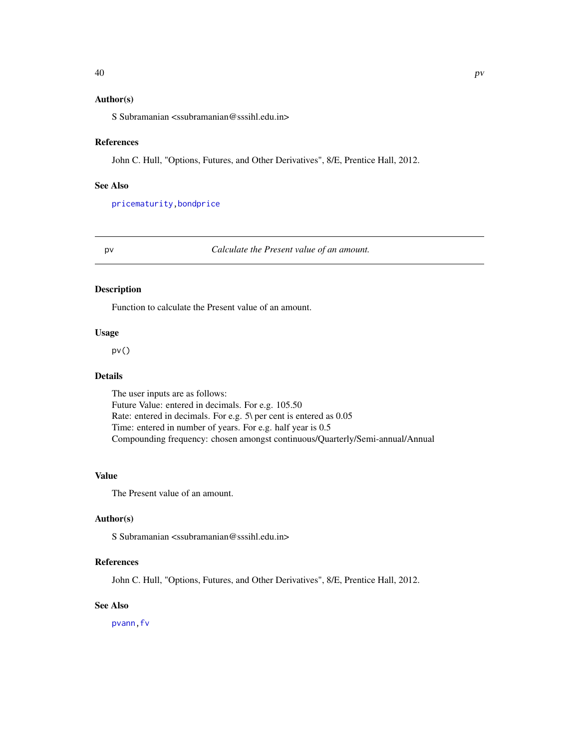### <span id="page-39-0"></span>Author(s)

S Subramanian <ssubramanian@sssihl.edu.in>

### References

John C. Hull, "Options, Futures, and Other Derivatives", 8/E, Prentice Hall, 2012.

### See Also

[pricematurity](#page-37-1)[,bondprice](#page-11-1)

#### <span id="page-39-1"></span>pv *Calculate the Present value of an amount.*

#### Description

Function to calculate the Present value of an amount.

### Usage

pv()

### Details

The user inputs are as follows: Future Value: entered in decimals. For e.g. 105.50 Rate: entered in decimals. For e.g. 5\ per cent is entered as 0.05 Time: entered in number of years. For e.g. half year is 0.5 Compounding frequency: chosen amongst continuous/Quarterly/Semi-annual/Annual

#### Value

The Present value of an amount.

### Author(s)

S Subramanian <ssubramanian@sssihl.edu.in>

### References

John C. Hull, "Options, Futures, and Other Derivatives", 8/E, Prentice Hall, 2012.

### See Also

[pvann](#page-40-1)[,fv](#page-30-1)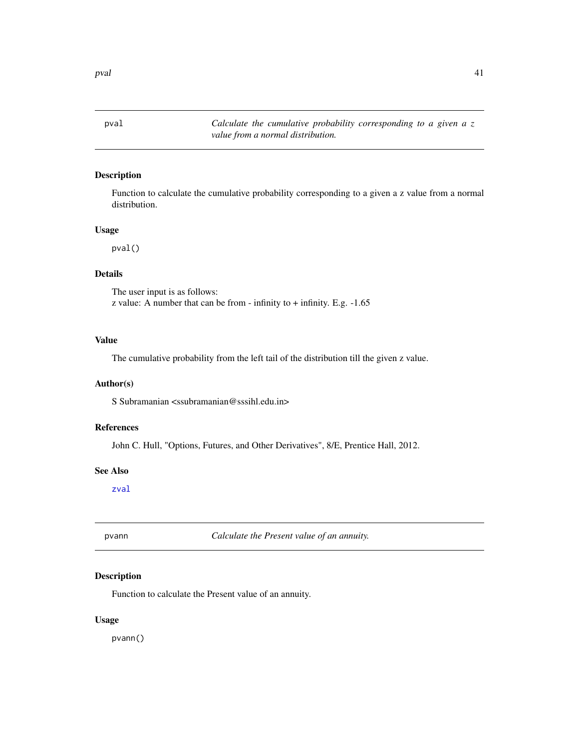<span id="page-40-2"></span><span id="page-40-0"></span>pval *Calculate the cumulative probability corresponding to a given a z value from a normal distribution.*

### Description

Function to calculate the cumulative probability corresponding to a given a z value from a normal distribution.

### Usage

pval()

#### Details

The user input is as follows: z value: A number that can be from - infinity to  $+$  infinity. E.g.  $-1.65$ 

### Value

The cumulative probability from the left tail of the distribution till the given z value.

### Author(s)

S Subramanian <ssubramanian@sssihl.edu.in>

### References

John C. Hull, "Options, Futures, and Other Derivatives", 8/E, Prentice Hall, 2012.

#### See Also

[zval](#page-56-1)

<span id="page-40-1"></span>pvann *Calculate the Present value of an annuity.*

### Description

Function to calculate the Present value of an annuity.

#### Usage

pvann()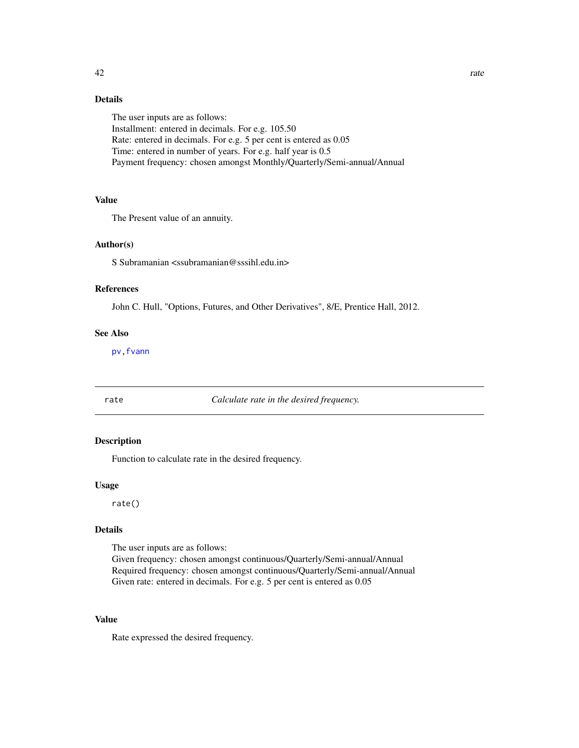### <span id="page-41-0"></span>Details

The user inputs are as follows: Installment: entered in decimals. For e.g. 105.50 Rate: entered in decimals. For e.g. 5 per cent is entered as 0.05 Time: entered in number of years. For e.g. half year is 0.5 Payment frequency: chosen amongst Monthly/Quarterly/Semi-annual/Annual

### Value

The Present value of an annuity.

#### Author(s)

S Subramanian <ssubramanian@sssihl.edu.in>

#### References

John C. Hull, "Options, Futures, and Other Derivatives", 8/E, Prentice Hall, 2012.

### See Also

[pv](#page-39-1)[,fvann](#page-31-2)

rate *Calculate rate in the desired frequency.*

#### Description

Function to calculate rate in the desired frequency.

#### Usage

rate()

### Details

The user inputs are as follows:

Given frequency: chosen amongst continuous/Quarterly/Semi-annual/Annual Required frequency: chosen amongst continuous/Quarterly/Semi-annual/Annual Given rate: entered in decimals. For e.g. 5 per cent is entered as 0.05

### Value

Rate expressed the desired frequency.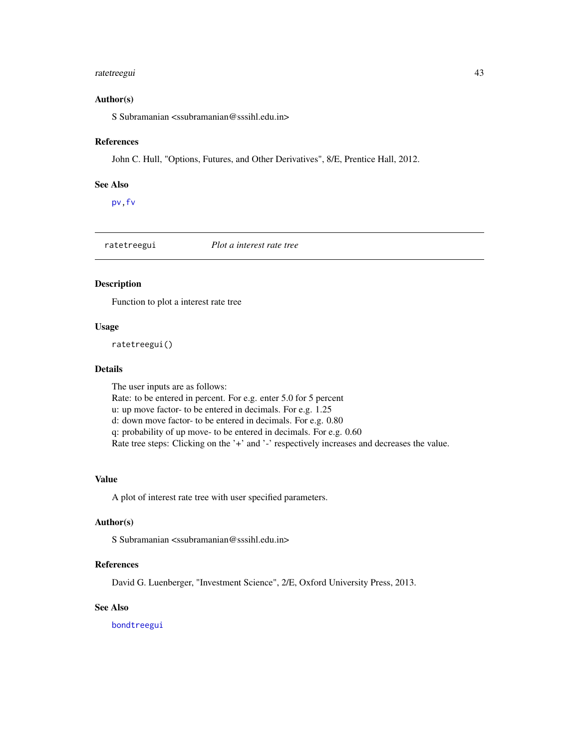### <span id="page-42-0"></span>ratetreegui 43

#### Author(s)

S Subramanian <ssubramanian@sssihl.edu.in>

#### References

John C. Hull, "Options, Futures, and Other Derivatives", 8/E, Prentice Hall, 2012.

#### See Also

[pv](#page-39-1)[,fv](#page-30-1)

<span id="page-42-1"></span>ratetreegui *Plot a interest rate tree*

#### Description

Function to plot a interest rate tree

### Usage

ratetreegui()

#### Details

The user inputs are as follows: Rate: to be entered in percent. For e.g. enter 5.0 for 5 percent u: up move factor- to be entered in decimals. For e.g. 1.25 d: down move factor- to be entered in decimals. For e.g. 0.80 q: probability of up move- to be entered in decimals. For e.g. 0.60 Rate tree steps: Clicking on the '+' and '-' respectively increases and decreases the value.

### Value

A plot of interest rate tree with user specified parameters.

#### Author(s)

S Subramanian <ssubramanian@sssihl.edu.in>

### References

David G. Luenberger, "Investment Science", 2/E, Oxford University Press, 2013.

### See Also

[bondtreegui](#page-12-1)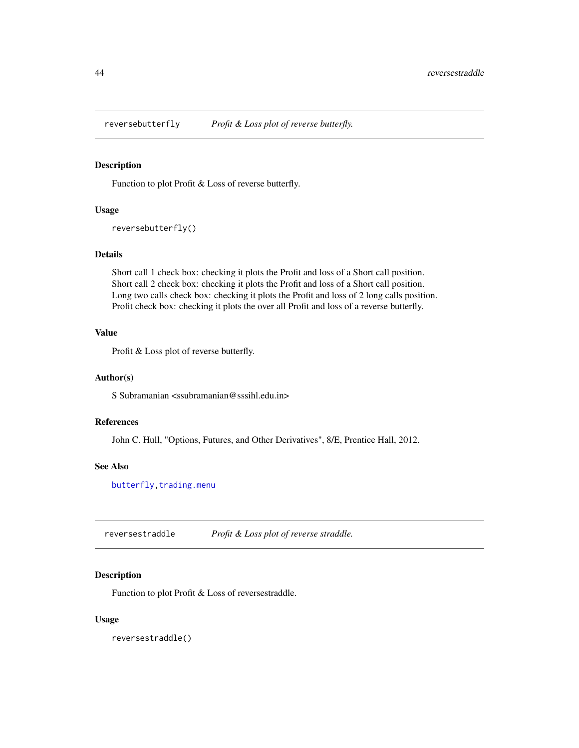<span id="page-43-1"></span><span id="page-43-0"></span>reversebutterfly *Profit & Loss plot of reverse butterfly.*

### Description

Function to plot Profit & Loss of reverse butterfly.

#### Usage

```
reversebutterfly()
```
### Details

Short call 1 check box: checking it plots the Profit and loss of a Short call position. Short call 2 check box: checking it plots the Profit and loss of a Short call position. Long two calls check box: checking it plots the Profit and loss of 2 long calls position. Profit check box: checking it plots the over all Profit and loss of a reverse butterfly.

### Value

Profit & Loss plot of reverse butterfly.

#### Author(s)

S Subramanian <ssubramanian@sssihl.edu.in>

### References

John C. Hull, "Options, Futures, and Other Derivatives", 8/E, Prentice Hall, 2012.

#### See Also

[butterfly](#page-14-1), trading.menu

<span id="page-43-2"></span>reversestraddle *Profit & Loss plot of reverse straddle.*

#### Description

Function to plot Profit & Loss of reversestraddle.

#### Usage

reversestraddle()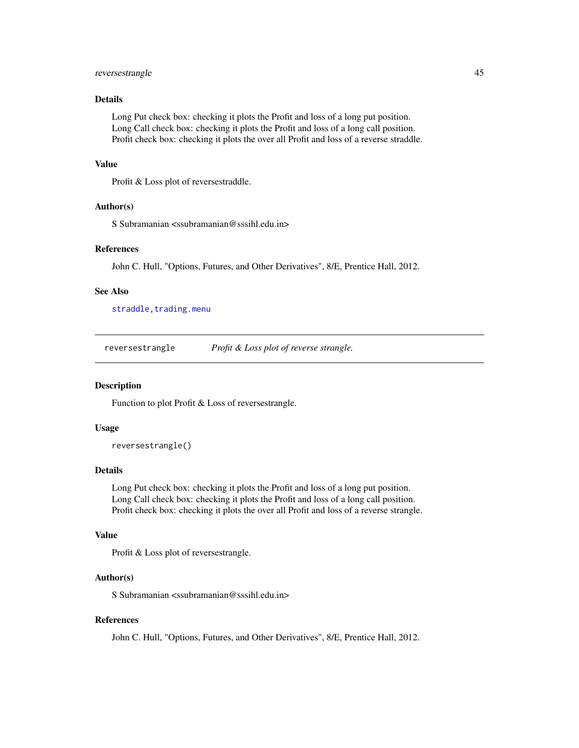### <span id="page-44-0"></span>reversestrangle 45

### Details

Long Put check box: checking it plots the Profit and loss of a long put position. Long Call check box: checking it plots the Profit and loss of a long call position. Profit check box: checking it plots the over all Profit and loss of a reverse straddle.

#### Value

Profit & Loss plot of reversestraddle.

#### Author(s)

S Subramanian <ssubramanian@sssihl.edu.in>

### References

John C. Hull, "Options, Futures, and Other Derivatives", 8/E, Prentice Hall, 2012.

#### See Also

[straddle](#page-47-1), trading.menu

<span id="page-44-1"></span>reversestrangle *Profit & Loss plot of reverse strangle.*

#### Description

Function to plot Profit & Loss of reversestrangle.

### Usage

reversestrangle()

#### Details

Long Put check box: checking it plots the Profit and loss of a long put position. Long Call check box: checking it plots the Profit and loss of a long call position. Profit check box: checking it plots the over all Profit and loss of a reverse strangle.

### Value

Profit & Loss plot of reversestrangle.

#### Author(s)

S Subramanian <ssubramanian@sssihl.edu.in>

#### References

John C. Hull, "Options, Futures, and Other Derivatives", 8/E, Prentice Hall, 2012.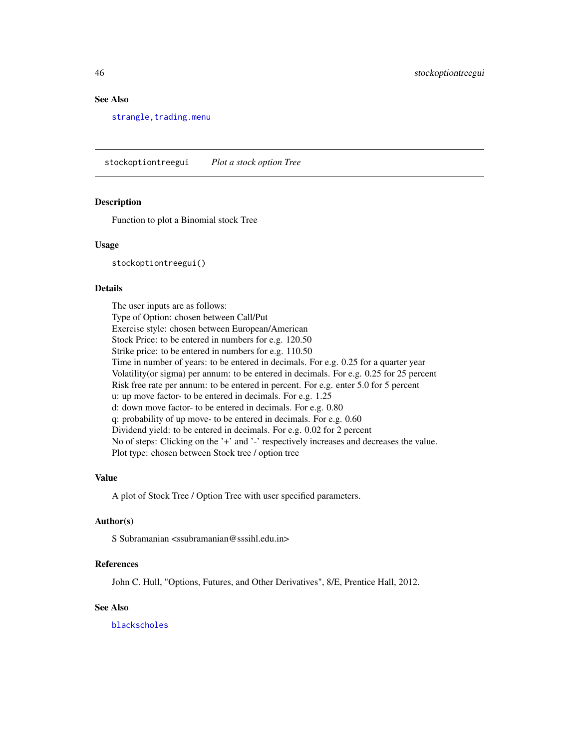### <span id="page-45-0"></span>See Also

[strangle](#page-47-2), trading.menu

<span id="page-45-1"></span>stockoptiontreegui *Plot a stock option Tree*

#### Description

Function to plot a Binomial stock Tree

#### Usage

stockoptiontreegui()

#### Details

The user inputs are as follows: Type of Option: chosen between Call/Put Exercise style: chosen between European/American Stock Price: to be entered in numbers for e.g. 120.50 Strike price: to be entered in numbers for e.g. 110.50 Time in number of years: to be entered in decimals. For e.g. 0.25 for a quarter year Volatility(or sigma) per annum: to be entered in decimals. For e.g. 0.25 for 25 percent Risk free rate per annum: to be entered in percent. For e.g. enter 5.0 for 5 percent u: up move factor- to be entered in decimals. For e.g. 1.25 d: down move factor- to be entered in decimals. For e.g. 0.80 q: probability of up move- to be entered in decimals. For e.g. 0.60 Dividend yield: to be entered in decimals. For e.g. 0.02 for 2 percent No of steps: Clicking on the '+' and '-' respectively increases and decreases the value. Plot type: chosen between Stock tree / option tree

#### Value

A plot of Stock Tree / Option Tree with user specified parameters.

#### Author(s)

S Subramanian <ssubramanian@sssihl.edu.in>

### References

John C. Hull, "Options, Futures, and Other Derivatives", 8/E, Prentice Hall, 2012.

#### See Also

[blackscholes](#page-4-1)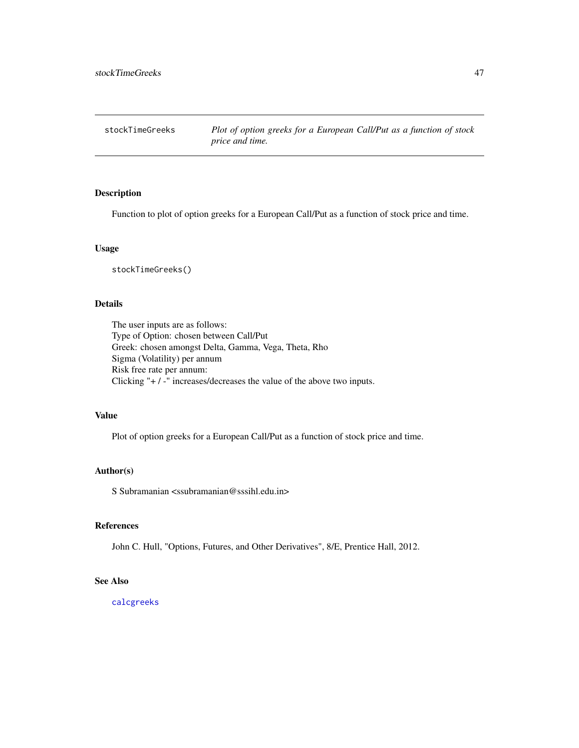<span id="page-46-0"></span>Function to plot of option greeks for a European Call/Put as a function of stock price and time.

#### Usage

stockTimeGreeks()

### Details

The user inputs are as follows: Type of Option: chosen between Call/Put Greek: chosen amongst Delta, Gamma, Vega, Theta, Rho Sigma (Volatility) per annum Risk free rate per annum: Clicking "+ / -" increases/decreases the value of the above two inputs.

### Value

Plot of option greeks for a European Call/Put as a function of stock price and time.

#### Author(s)

S Subramanian  $\langle$ ssubramanian@sssihl.edu.in>

#### References

John C. Hull, "Options, Futures, and Other Derivatives", 8/E, Prentice Hall, 2012.

#### See Also

[calcgreeks](#page-15-1)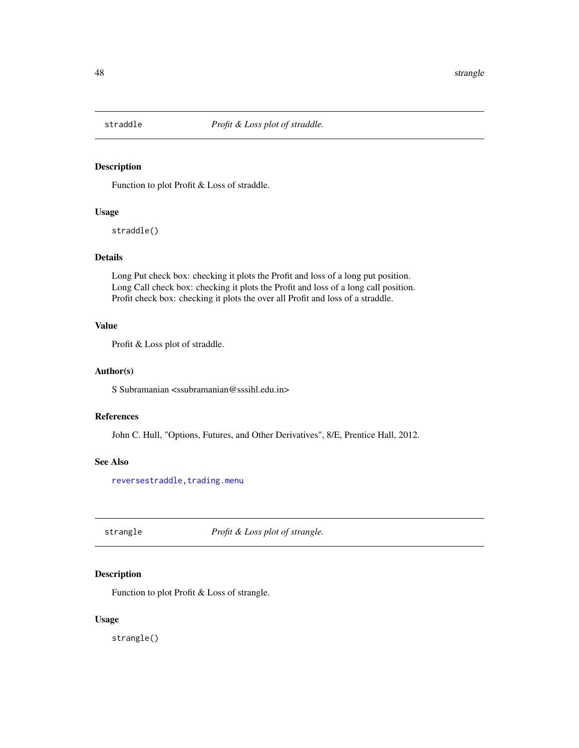<span id="page-47-1"></span><span id="page-47-0"></span>

Function to plot Profit & Loss of straddle.

#### Usage

straddle()

### Details

Long Put check box: checking it plots the Profit and loss of a long put position. Long Call check box: checking it plots the Profit and loss of a long call position. Profit check box: checking it plots the over all Profit and loss of a straddle.

### Value

Profit & Loss plot of straddle.

#### Author(s)

S Subramanian <ssubramanian@sssihl.edu.in>

### References

John C. Hull, "Options, Futures, and Other Derivatives", 8/E, Prentice Hall, 2012.

### See Also

[reversestraddle](#page-43-2), trading.menu

<span id="page-47-2"></span>strangle *Profit & Loss plot of strangle.*

#### Description

Function to plot Profit & Loss of strangle.

### Usage

strangle()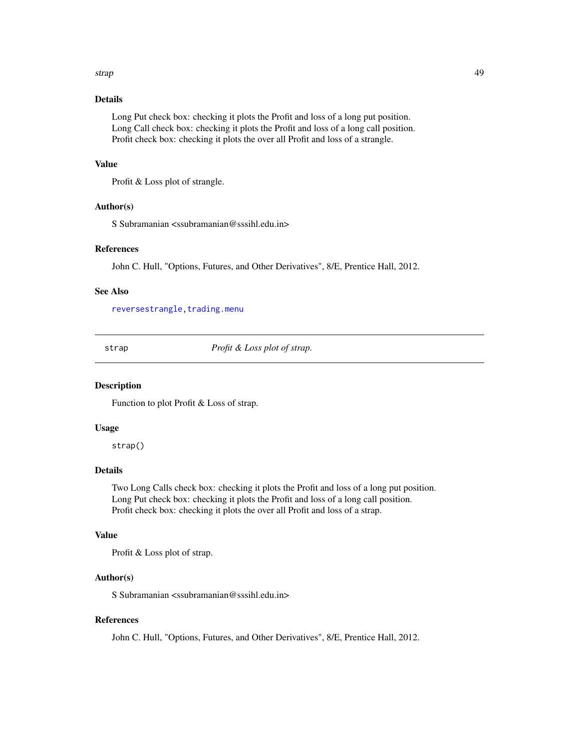#### <span id="page-48-0"></span>strap 49

### Details

Long Put check box: checking it plots the Profit and loss of a long put position. Long Call check box: checking it plots the Profit and loss of a long call position. Profit check box: checking it plots the over all Profit and loss of a strangle.

#### Value

Profit & Loss plot of strangle.

#### Author(s)

S Subramanian <ssubramanian@sssihl.edu.in>

### References

John C. Hull, "Options, Futures, and Other Derivatives", 8/E, Prentice Hall, 2012.

#### See Also

[reversestrangle](#page-44-1), trading.menu

<span id="page-48-1"></span>strap *Profit & Loss plot of strap.*

#### Description

Function to plot Profit & Loss of strap.

### Usage

strap()

### Details

Two Long Calls check box: checking it plots the Profit and loss of a long put position. Long Put check box: checking it plots the Profit and loss of a long call position. Profit check box: checking it plots the over all Profit and loss of a strap.

### Value

Profit & Loss plot of strap.

### Author(s)

S Subramanian <ssubramanian@sssihl.edu.in>

#### References

John C. Hull, "Options, Futures, and Other Derivatives", 8/E, Prentice Hall, 2012.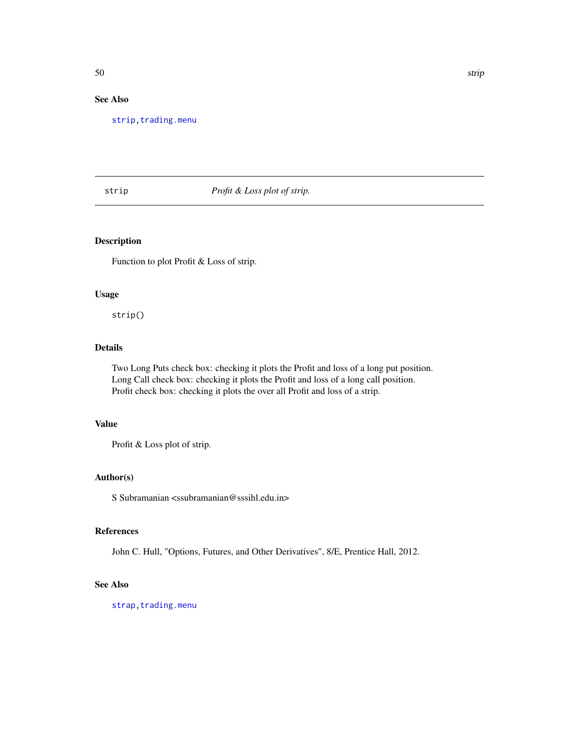### <span id="page-49-0"></span>See Also

[strip](#page-49-1)[,trading.menu](#page-52-1)

### <span id="page-49-1"></span>strip *Profit & Loss plot of strip.*

### Description

Function to plot Profit & Loss of strip.

#### Usage

strip()

### Details

Two Long Puts check box: checking it plots the Profit and loss of a long put position. Long Call check box: checking it plots the Profit and loss of a long call position. Profit check box: checking it plots the over all Profit and loss of a strip.

### Value

Profit & Loss plot of strip.

### Author(s)

S Subramanian <ssubramanian@sssihl.edu.in>

#### References

John C. Hull, "Options, Futures, and Other Derivatives", 8/E, Prentice Hall, 2012.

### See Also

[strap](#page-48-1), trading.menu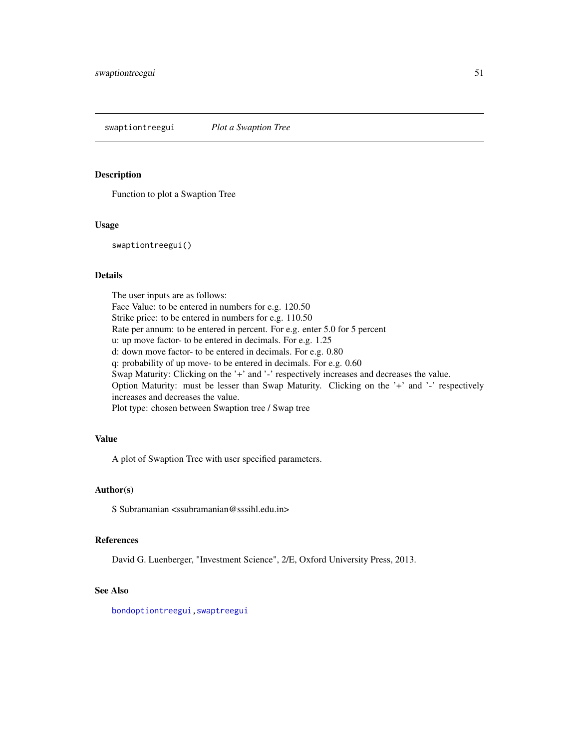<span id="page-50-1"></span><span id="page-50-0"></span>swaptiontreegui *Plot a Swaption Tree*

#### Description

Function to plot a Swaption Tree

#### Usage

swaptiontreegui()

### Details

The user inputs are as follows: Face Value: to be entered in numbers for e.g. 120.50 Strike price: to be entered in numbers for e.g. 110.50 Rate per annum: to be entered in percent. For e.g. enter 5.0 for 5 percent u: up move factor- to be entered in decimals. For e.g. 1.25 d: down move factor- to be entered in decimals. For e.g. 0.80 q: probability of up move- to be entered in decimals. For e.g. 0.60 Swap Maturity: Clicking on the '+' and '-' respectively increases and decreases the value. Option Maturity: must be lesser than Swap Maturity. Clicking on the '+' and '-' respectively increases and decreases the value. Plot type: chosen between Swaption tree / Swap tree

#### Value

A plot of Swaption Tree with user specified parameters.

#### Author(s)

S Subramanian <ssubramanian@sssihl.edu.in>

#### References

David G. Luenberger, "Investment Science", 2/E, Oxford University Press, 2013.

#### See Also

[bondoptiontreegui](#page-10-1)[,swaptreegui](#page-51-1)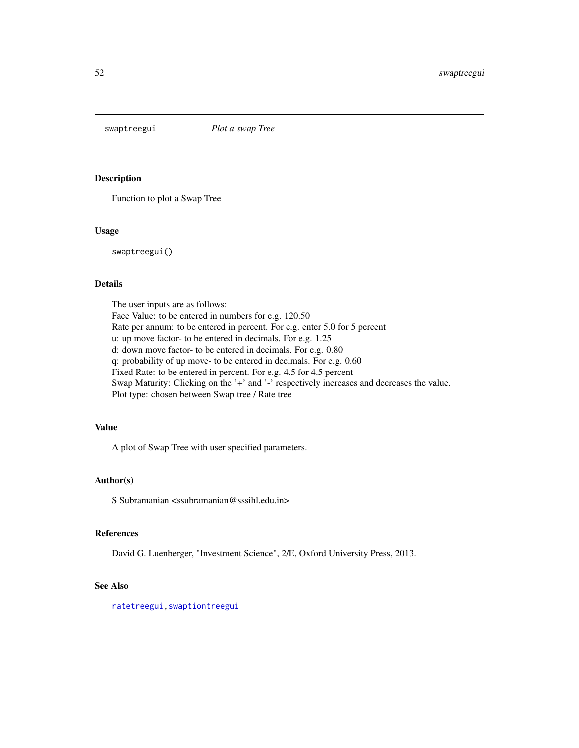<span id="page-51-1"></span><span id="page-51-0"></span>

Function to plot a Swap Tree

#### Usage

swaptreegui()

### Details

The user inputs are as follows: Face Value: to be entered in numbers for e.g. 120.50 Rate per annum: to be entered in percent. For e.g. enter 5.0 for 5 percent u: up move factor- to be entered in decimals. For e.g. 1.25 d: down move factor- to be entered in decimals. For e.g. 0.80 q: probability of up move- to be entered in decimals. For e.g. 0.60 Fixed Rate: to be entered in percent. For e.g. 4.5 for 4.5 percent Swap Maturity: Clicking on the '+' and '-' respectively increases and decreases the value. Plot type: chosen between Swap tree / Rate tree

### Value

A plot of Swap Tree with user specified parameters.

### Author(s)

S Subramanian <ssubramanian@sssihl.edu.in>

#### References

David G. Luenberger, "Investment Science", 2/E, Oxford University Press, 2013.

### See Also

[ratetreegui](#page-42-1)[,swaptiontreegui](#page-50-1)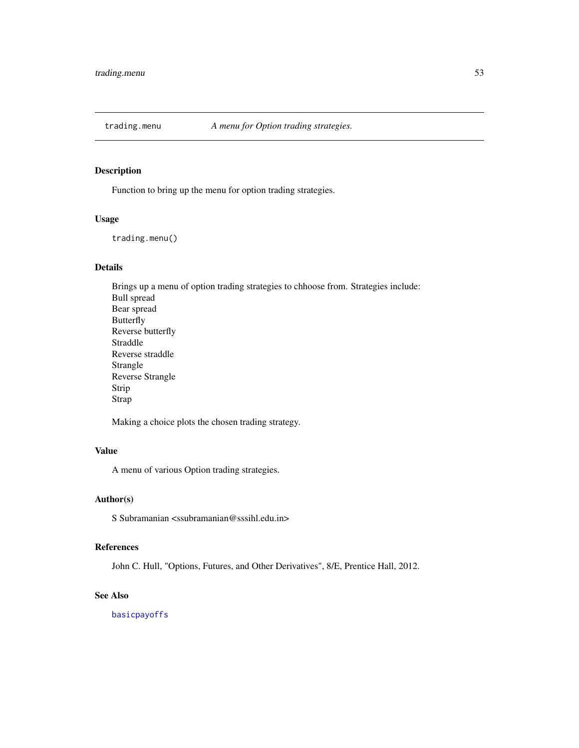<span id="page-52-1"></span><span id="page-52-0"></span>

Function to bring up the menu for option trading strategies.

### Usage

trading.menu()

### Details

Brings up a menu of option trading strategies to chhoose from. Strategies include: Bull spread Bear spread Butterfly Reverse butterfly Straddle Reverse straddle Strangle Reverse Strangle Strip Strap

Making a choice plots the chosen trading strategy.

### Value

A menu of various Option trading strategies.

### Author(s)

S Subramanian <ssubramanian@sssihl.edu.in>

### References

John C. Hull, "Options, Futures, and Other Derivatives", 8/E, Prentice Hall, 2012.

#### See Also

[basicpayoffs](#page-3-2)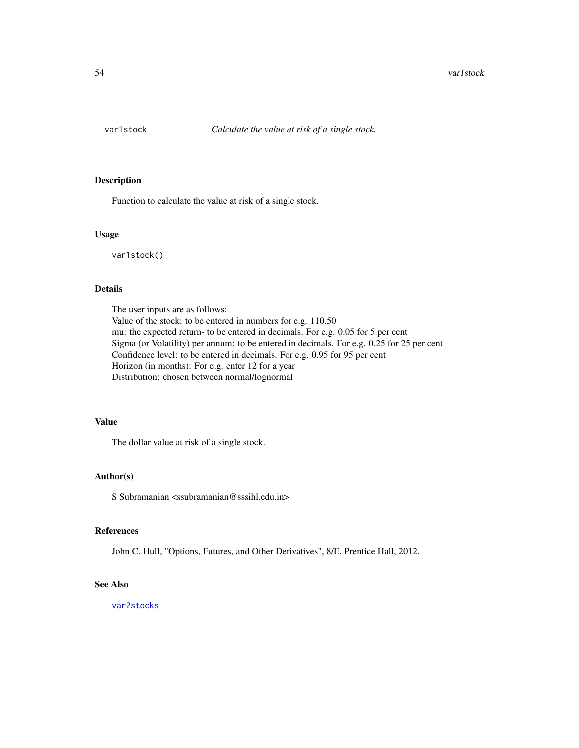<span id="page-53-1"></span><span id="page-53-0"></span>

Function to calculate the value at risk of a single stock.

#### Usage

var1stock()

#### Details

The user inputs are as follows: Value of the stock: to be entered in numbers for e.g. 110.50 mu: the expected return- to be entered in decimals. For e.g. 0.05 for 5 per cent Sigma (or Volatility) per annum: to be entered in decimals. For e.g. 0.25 for 25 per cent Confidence level: to be entered in decimals. For e.g. 0.95 for 95 per cent Horizon (in months): For e.g. enter 12 for a year Distribution: chosen between normal/lognormal

#### Value

The dollar value at risk of a single stock.

#### Author(s)

S Subramanian <ssubramanian@sssihl.edu.in>

#### References

John C. Hull, "Options, Futures, and Other Derivatives", 8/E, Prentice Hall, 2012.

### See Also

[var2stocks](#page-54-1)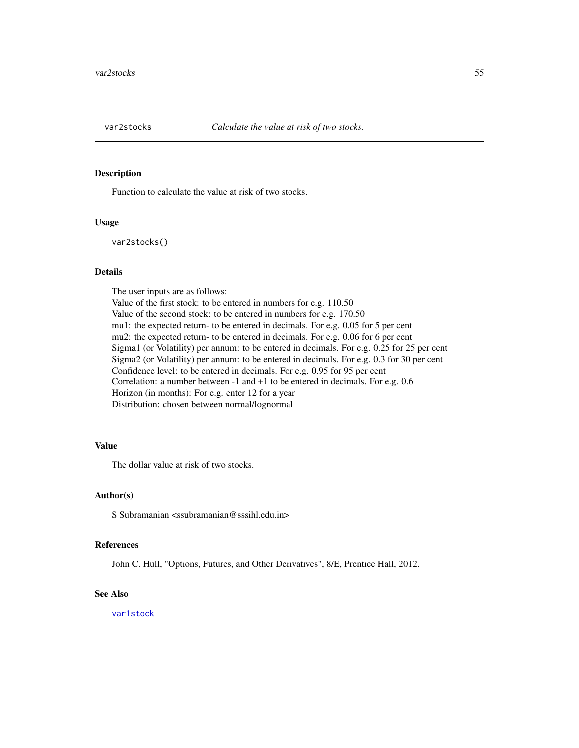<span id="page-54-1"></span><span id="page-54-0"></span>

Function to calculate the value at risk of two stocks.

#### Usage

var2stocks()

#### Details

The user inputs are as follows: Value of the first stock: to be entered in numbers for e.g. 110.50 Value of the second stock: to be entered in numbers for e.g. 170.50 mu1: the expected return- to be entered in decimals. For e.g. 0.05 for 5 per cent mu2: the expected return- to be entered in decimals. For e.g. 0.06 for 6 per cent Sigma1 (or Volatility) per annum: to be entered in decimals. For e.g. 0.25 for 25 per cent Sigma2 (or Volatility) per annum: to be entered in decimals. For e.g. 0.3 for 30 per cent Confidence level: to be entered in decimals. For e.g. 0.95 for 95 per cent Correlation: a number between -1 and +1 to be entered in decimals. For e.g. 0.6 Horizon (in months): For e.g. enter 12 for a year Distribution: chosen between normal/lognormal

### Value

The dollar value at risk of two stocks.

### Author(s)

S Subramanian <ssubramanian@sssihl.edu.in>

### References

John C. Hull, "Options, Futures, and Other Derivatives", 8/E, Prentice Hall, 2012.

#### See Also

[var1stock](#page-53-1)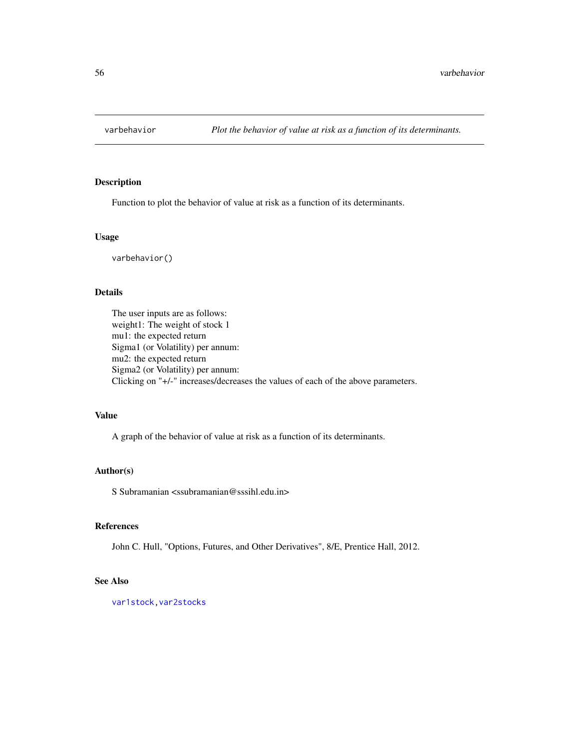<span id="page-55-0"></span>

Function to plot the behavior of value at risk as a function of its determinants.

#### Usage

varbehavior()

### Details

The user inputs are as follows: weight1: The weight of stock 1 mu1: the expected return Sigma1 (or Volatility) per annum: mu2: the expected return Sigma2 (or Volatility) per annum: Clicking on "+/-" increases/decreases the values of each of the above parameters.

### Value

A graph of the behavior of value at risk as a function of its determinants.

#### Author(s)

S Subramanian  $\langle$ ssubramanian@sssihl.edu.in>

#### References

John C. Hull, "Options, Futures, and Other Derivatives", 8/E, Prentice Hall, 2012.

### See Also

[var1stock](#page-53-1)[,var2stocks](#page-54-1)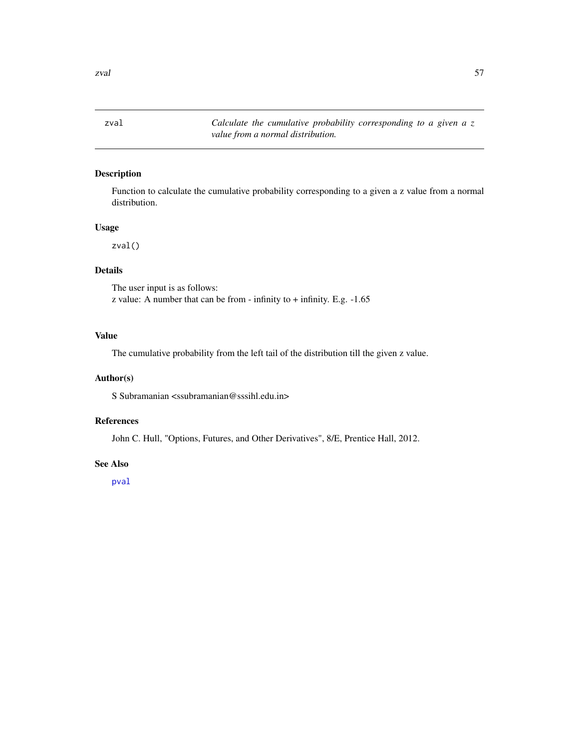<span id="page-56-1"></span><span id="page-56-0"></span>zval *Calculate the cumulative probability corresponding to a given a z value from a normal distribution.*

### Description

Function to calculate the cumulative probability corresponding to a given a z value from a normal distribution.

### Usage

zval()

### Details

The user input is as follows: z value: A number that can be from - infinity to + infinity. E.g. -1.65

#### Value

The cumulative probability from the left tail of the distribution till the given z value.

#### Author(s)

S Subramanian <ssubramanian@sssihl.edu.in>

### References

John C. Hull, "Options, Futures, and Other Derivatives", 8/E, Prentice Hall, 2012.

#### See Also

[pval](#page-40-2)